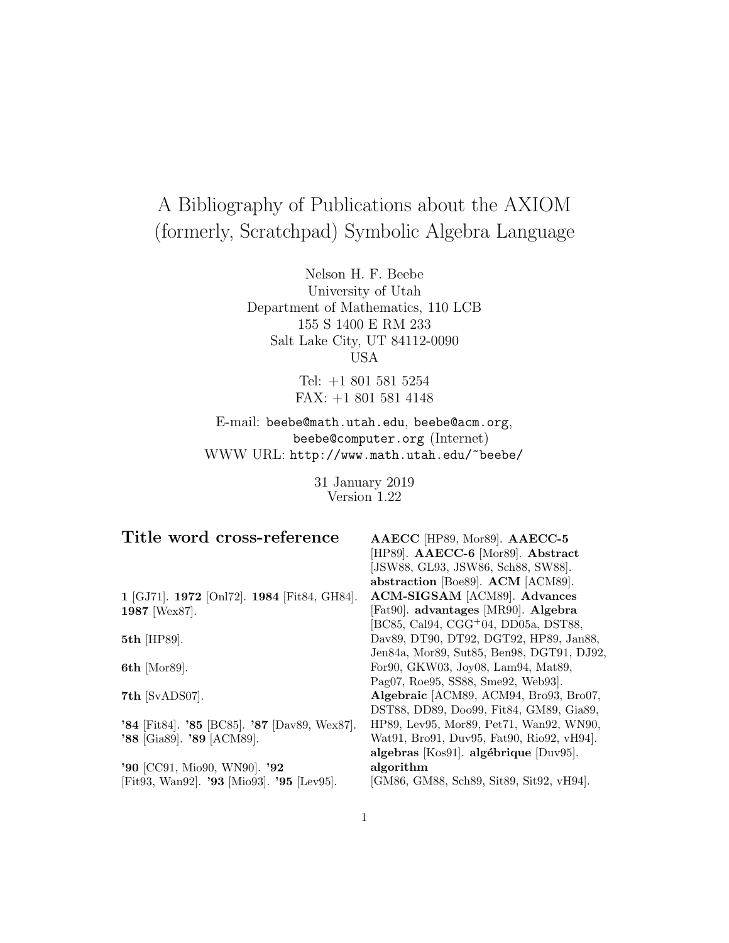# A Bibliography of Publications about the AXIOM (formerly, Scratchpad) Symbolic Algebra Language

Nelson H. F. Beebe University of Utah Department of Mathematics, 110 LCB 155 S 1400 E RM 233 Salt Lake City, UT 84112-0090 USA

> Tel: +1 801 581 5254 FAX: +1 801 581 4148

E-mail: beebe@math.utah.edu, beebe@acm.org, beebe@computer.org (Internet) WWW URL: http://www.math.utah.edu/~beebe/

> 31 January 2019 Version 1.22

| Title word cross-reference                   | AAECC [HP89, Mor89]. AAECC-5                     |
|----------------------------------------------|--------------------------------------------------|
|                                              | [HP89]. AAECC-6 [Mor89]. Abstract                |
|                                              | [JSW88, GL93, JSW86, Sch88, SW88].               |
|                                              | abstraction [Boe89]. ACM [ACM89].                |
| 1 [GJ71]. 1972 [Onl72]. 1984 [Fit84, GH84].  | ACM-SIGSAM [ACM89]. Advances                     |
| 1987 [Wex87].                                | [Fat90]. advantages [MR90]. Algebra              |
|                                              | [BC85, Cal94, CGG <sup>+</sup> 04, DD05a, DST88, |
| 5th [HP89].                                  | Dav89, DT90, DT92, DGT92, HP89, Jan88,           |
|                                              | Jen84a, Mor89, Sut85, Ben98, DGT91, DJ92,        |
| <b>6th</b> [Mor89].                          | For90, GKW03, Joy08, Lam94, Mat89,               |
|                                              | Pag07, Roe95, SS88, Sme92, Web93.                |
| 7th [SvADS07].                               | Algebraic [ACM89, ACM94, Bro93, Bro07,           |
|                                              | DST88, DD89, Doo99, Fit84, GM89, Gia89,          |
| '84 [Fit84]. '85 [BC85]. '87 [Dav89, Wex87]. | HP89, Lev95, Mor89, Pet71, Wan92, WN90,          |
| '88 [Gia89]. '89 [ACM89].                    | Wat91, Bro91, Duv95, Fat90, Rio92, vH94.         |
|                                              | algebras [Kos91]. algébrique [Duv95].            |
| '90 [CC91, Mio90, WN90]. '92                 | algorithm                                        |
| [Fit93, Wan92]. '93 [Mio93]. '95 [Lev95].    | [GM86, GM88, Sch89, Sit89, Sit92, vH94].         |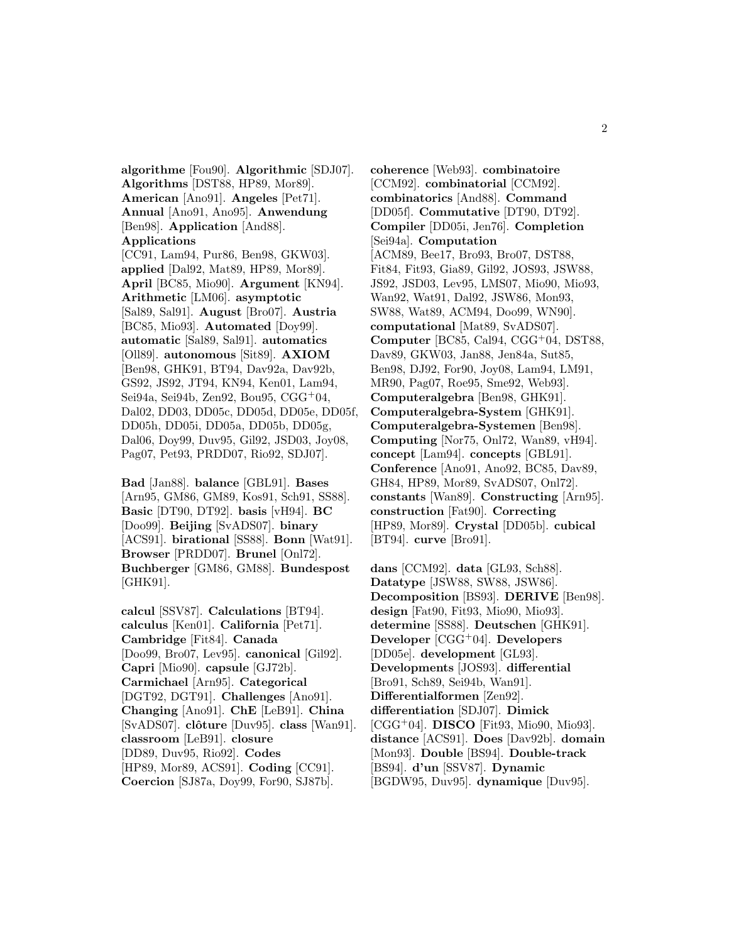**algorithme** [Fou90]. **Algorithmic** [SDJ07]. **Algorithms** [DST88, HP89, Mor89]. **American** [Ano91]. **Angeles** [Pet71]. **Annual** [Ano91, Ano95]. **Anwendung** [Ben98]. **Application** [And88]. **Applications**

[CC91, Lam94, Pur86, Ben98, GKW03]. **applied** [Dal92, Mat89, HP89, Mor89]. **April** [BC85, Mio90]. **Argument** [KN94]. **Arithmetic** [LM06]. **asymptotic** [Sal89, Sal91]. **August** [Bro07]. **Austria** [BC85, Mio93]. **Automated** [Doy99]. **automatic** [Sal89, Sal91]. **automatics** [Oll89]. **autonomous** [Sit89]. **AXIOM** [Ben98, GHK91, BT94, Dav92a, Dav92b, GS92, JS92, JT94, KN94, Ken01, Lam94, Sei94a, Sei94b, Zen92, Bou95, CGG<sup>+</sup>04, Dal02, DD03, DD05c, DD05d, DD05e, DD05f, DD05h, DD05i, DD05a, DD05b, DD05g, Dal06, Doy99, Duv95, Gil92, JSD03, Joy08, Pag07, Pet93, PRDD07, Rio92, SDJ07].

**Bad** [Jan88]. **balance** [GBL91]. **Bases** [Arn95, GM86, GM89, Kos91, Sch91, SS88]. **Basic** [DT90, DT92]. **basis** [vH94]. **BC** [Doo99]. **Beijing** [SvADS07]. **binary** [ACS91]. **birational** [SS88]. **Bonn** [Wat91]. **Browser** [PRDD07]. **Brunel** [Onl72]. **Buchberger** [GM86, GM88]. **Bundespost** [GHK91].

**calcul** [SSV87]. **Calculations** [BT94]. **calculus** [Ken01]. **California** [Pet71]. **Cambridge** [Fit84]. **Canada** [Doo99, Bro07, Lev95]. **canonical** [Gil92]. **Capri** [Mio90]. **capsule** [GJ72b]. **Carmichael** [Arn95]. **Categorical** [DGT92, DGT91]. **Challenges** [Ano91]. **Changing** [Ano91]. **ChE** [LeB91]. **China** [SvADS07]. **clˆoture** [Duv95]. **class** [Wan91]. **classroom** [LeB91]. **closure** [DD89, Duv95, Rio92]. **Codes** [HP89, Mor89, ACS91]. **Coding** [CC91]. **Coercion** [SJ87a, Doy99, For90, SJ87b].

**coherence** [Web93]. **combinatoire** [CCM92]. **combinatorial** [CCM92]. **combinatorics** [And88]. **Command** [DD05f]. **Commutative** [DT90, DT92]. **Compiler** [DD05i, Jen76]. **Completion** [Sei94a]. **Computation** [ACM89, Bee17, Bro93, Bro07, DST88, Fit84, Fit93, Gia89, Gil92, JOS93, JSW88, JS92, JSD03, Lev95, LMS07, Mio90, Mio93, Wan92, Wat91, Dal92, JSW86, Mon93, SW88, Wat89, ACM94, Doo99, WN90]. **computational** [Mat89, SvADS07]. **Computer** [BC85, Cal94, CGG<sup>+</sup>04, DST88, Dav89, GKW03, Jan88, Jen84a, Sut85, Ben98, DJ92, For90, Joy08, Lam94, LM91, MR90, Pag07, Roe95, Sme92, Web93]. **Computeralgebra** [Ben98, GHK91]. **Computeralgebra-System** [GHK91]. **Computeralgebra-Systemen** [Ben98]. **Computing** [Nor75, Onl72, Wan89, vH94]. **concept** [Lam94]. **concepts** [GBL91]. **Conference** [Ano91, Ano92, BC85, Dav89, GH84, HP89, Mor89, SvADS07, Onl72]. **constants** [Wan89]. **Constructing** [Arn95]. **construction** [Fat90]. **Correcting** [HP89, Mor89]. **Crystal** [DD05b]. **cubical** [BT94]. **curve** [Bro91].

**dans** [CCM92]. **data** [GL93, Sch88]. **Datatype** [JSW88, SW88, JSW86]. **Decomposition** [BS93]. **DERIVE** [Ben98]. **design** [Fat90, Fit93, Mio90, Mio93]. **determine** [SS88]. **Deutschen** [GHK91]. **Developer** [CGG<sup>+</sup>04]. **Developers** [DD05e]. **development** [GL93]. **Developments** [JOS93]. **differential** [Bro91, Sch89, Sei94b, Wan91]. **Differentialformen** [Zen92]. **differentiation** [SDJ07]. **Dimick** [CGG<sup>+</sup>04]. **DISCO** [Fit93, Mio90, Mio93]. **distance** [ACS91]. **Does** [Dav92b]. **domain** [Mon93]. **Double** [BS94]. **Double-track** [BS94]. **d'un** [SSV87]. **Dynamic** [BGDW95, Duv95]. **dynamique** [Duv95].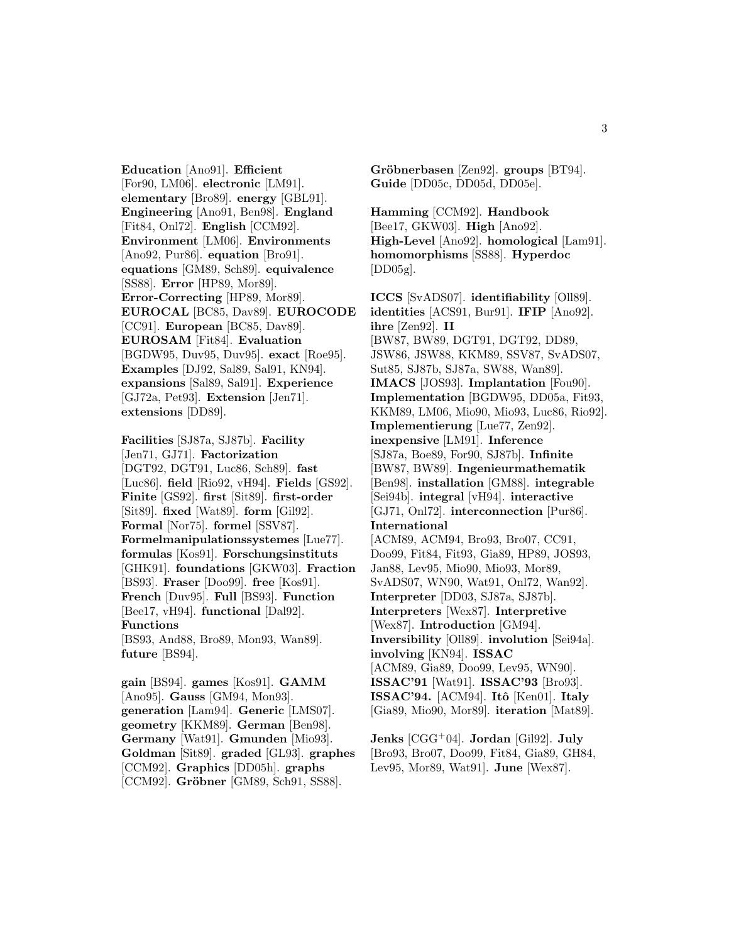**Education** [Ano91]. **Efficient** [For90, LM06]. **electronic** [LM91]. **elementary** [Bro89]. **energy** [GBL91]. **Engineering** [Ano91, Ben98]. **England** [Fit84, Onl72]. **English** [CCM92]. **Environment** [LM06]. **Environments** [Ano92, Pur86]. **equation** [Bro91]. **equations** [GM89, Sch89]. **equivalence** [SS88]. **Error** [HP89, Mor89]. **Error-Correcting** [HP89, Mor89]. **EUROCAL** [BC85, Dav89]. **EUROCODE** [CC91]. **European** [BC85, Dav89]. **EUROSAM** [Fit84]. **Evaluation** [BGDW95, Duv95, Duv95]. **exact** [Roe95]. **Examples** [DJ92, Sal89, Sal91, KN94]. **expansions** [Sal89, Sal91]. **Experience** [GJ72a, Pet93]. **Extension** [Jen71]. **extensions** [DD89].

**Facilities** [SJ87a, SJ87b]. **Facility** [Jen71, GJ71]. **Factorization** [DGT92, DGT91, Luc86, Sch89]. **fast** [Luc86]. **field** [Rio92, vH94]. **Fields** [GS92]. **Finite** [GS92]. **first** [Sit89]. **first-order** [Sit89]. **fixed** [Wat89]. **form** [Gil92]. **Formal** [Nor75]. **formel** [SSV87]. **Formelmanipulationssystemes** [Lue77]. **formulas** [Kos91]. **Forschungsinstituts** [GHK91]. **foundations** [GKW03]. **Fraction** [BS93]. **Fraser** [Doo99]. **free** [Kos91]. **French** [Duv95]. **Full** [BS93]. **Function** [Bee17, vH94]. **functional** [Dal92]. **Functions** [BS93, And88, Bro89, Mon93, Wan89]. **future** [BS94].

**gain** [BS94]. **games** [Kos91]. **GAMM** [Ano95]. **Gauss** [GM94, Mon93]. **generation** [Lam94]. **Generic** [LMS07]. **geometry** [KKM89]. **German** [Ben98]. **Germany** [Wat91]. **Gmunden** [Mio93]. **Goldman** [Sit89]. **graded** [GL93]. **graphes** [CCM92]. **Graphics** [DD05h]. **graphs** [CCM92]. **Gröbner** [GM89, Sch91, SS88].

Gröbnerbasen [Zen92]. groups [BT94]. **Guide** [DD05c, DD05d, DD05e].

**Hamming** [CCM92]. **Handbook** [Bee17, GKW03]. **High** [Ano92]. **High-Level** [Ano92]. **homological** [Lam91]. **homomorphisms** [SS88]. **Hyperdoc**  $[DD05g]$ .

**ICCS** [SvADS07]. **identifiability** [Oll89]. **identities** [ACS91, Bur91]. **IFIP** [Ano92]. **ihre** [Zen92]. **II** [BW87, BW89, DGT91, DGT92, DD89, JSW86, JSW88, KKM89, SSV87, SvADS07, Sut85, SJ87b, SJ87a, SW88, Wan89]. **IMACS** [JOS93]. **Implantation** [Fou90]. **Implementation** [BGDW95, DD05a, Fit93, KKM89, LM06, Mio90, Mio93, Luc86, Rio92]. **Implementierung** [Lue77, Zen92]. **inexpensive** [LM91]. **Inference** [SJ87a, Boe89, For90, SJ87b]. **Infinite** [BW87, BW89]. **Ingenieurmathematik** [Ben98]. **installation** [GM88]. **integrable** [Sei94b]. **integral** [vH94]. **interactive** [GJ71, Onl72]. **interconnection** [Pur86]. **International**

[ACM89, ACM94, Bro93, Bro07, CC91, Doo99, Fit84, Fit93, Gia89, HP89, JOS93, Jan88, Lev95, Mio90, Mio93, Mor89, SvADS07, WN90, Wat91, Onl72, Wan92]. **Interpreter** [DD03, SJ87a, SJ87b]. **Interpreters** [Wex87]. **Interpretive** [Wex87]. **Introduction** [GM94]. **Inversibility** [Oll89]. **involution** [Sei94a]. **involving** [KN94]. **ISSAC** [ACM89, Gia89, Doo99, Lev95, WN90]. **ISSAC'91** [Wat91]. **ISSAC'93** [Bro93]. **ISSAC'94.** [ACM94]. **Itˆo** [Ken01]. **Italy** [Gia89, Mio90, Mor89]. **iteration** [Mat89].

**Jenks** [CGG<sup>+</sup>04]. **Jordan** [Gil92]. **July** [Bro93, Bro07, Doo99, Fit84, Gia89, GH84, Lev95, Mor89, Wat91]. **June** [Wex87].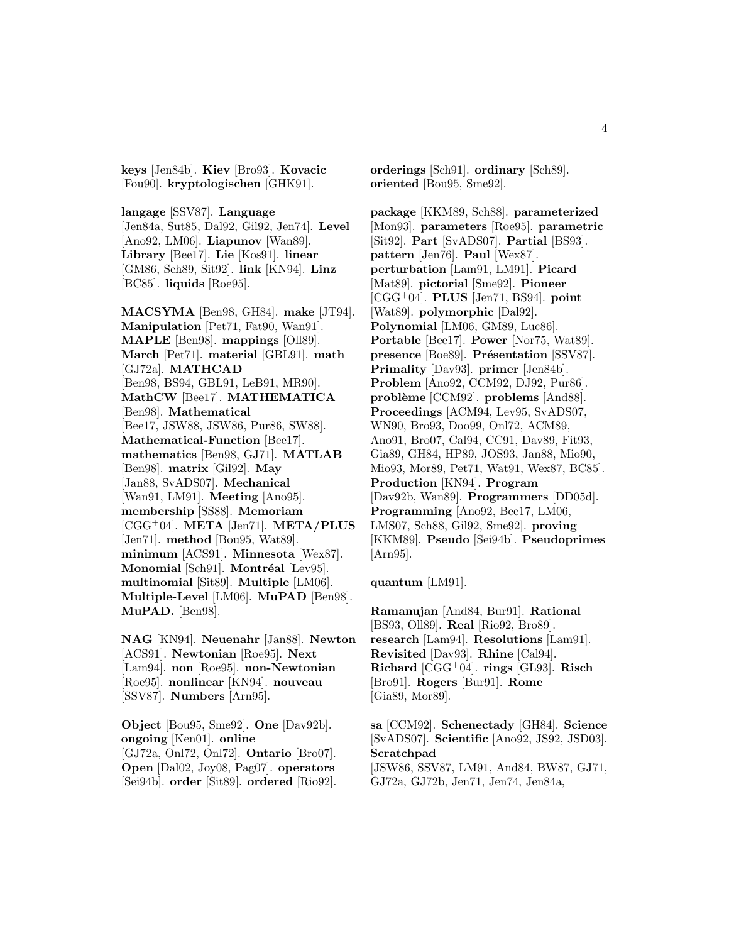**keys** [Jen84b]. **Kiev** [Bro93]. **Kovacic** [Fou90]. **kryptologischen** [GHK91].

**langage** [SSV87]. **Language** [Jen84a, Sut85, Dal92, Gil92, Jen74]. **Level** [Ano92, LM06]. **Liapunov** [Wan89]. **Library** [Bee17]. **Lie** [Kos91]. **linear** [GM86, Sch89, Sit92]. **link** [KN94]. **Linz** [BC85]. **liquids** [Roe95].

**MACSYMA** [Ben98, GH84]. **make** [JT94]. **Manipulation** [Pet71, Fat90, Wan91]. **MAPLE** [Ben98]. **mappings** [Oll89]. **March** [Pet71]. **material** [GBL91]. **math** [GJ72a]. **MATHCAD** [Ben98, BS94, GBL91, LeB91, MR90]. **MathCW** [Bee17]. **MATHEMATICA** [Ben98]. **Mathematical** [Bee17, JSW88, JSW86, Pur86, SW88]. **Mathematical-Function** [Bee17]. **mathematics** [Ben98, GJ71]. **MATLAB** [Ben98]. **matrix** [Gil92]. **May** [Jan88, SvADS07]. **Mechanical** [Wan91, LM91]. **Meeting** [Ano95]. **membership** [SS88]. **Memoriam** [CGG<sup>+</sup>04]. **META** [Jen71]. **META/PLUS** [Jen71]. **method** [Bou95, Wat89]. **minimum** [ACS91]. **Minnesota** [Wex87]. **Monomial** [Sch91]. **Montréal** [Lev95]. **multinomial** [Sit89]. **Multiple** [LM06]. **Multiple-Level** [LM06]. **MuPAD** [Ben98]. **MuPAD.** [Ben98].

**NAG** [KN94]. **Neuenahr** [Jan88]. **Newton** [ACS91]. **Newtonian** [Roe95]. **Next** [Lam94]. **non** [Roe95]. **non-Newtonian** [Roe95]. **nonlinear** [KN94]. **nouveau** [SSV87]. **Numbers** [Arn95].

**Object** [Bou95, Sme92]. **One** [Dav92b]. **ongoing** [Ken01]. **online** [GJ72a, Onl72, Onl72]. **Ontario** [Bro07]. **Open** [Dal02, Joy08, Pag07]. **operators** [Sei94b]. **order** [Sit89]. **ordered** [Rio92].

**orderings** [Sch91]. **ordinary** [Sch89]. **oriented** [Bou95, Sme92].

**package** [KKM89, Sch88]. **parameterized** [Mon93]. **parameters** [Roe95]. **parametric** [Sit92]. **Part** [SvADS07]. **Partial** [BS93]. **pattern** [Jen76]. **Paul** [Wex87]. **perturbation** [Lam91, LM91]. **Picard** [Mat89]. **pictorial** [Sme92]. **Pioneer** [CGG<sup>+</sup>04]. **PLUS** [Jen71, BS94]. **point** [Wat89]. **polymorphic** [Dal92]. **Polynomial** [LM06, GM89, Luc86]. **Portable** [Bee17]. **Power** [Nor75, Wat89]. **presence** [Boe89]. **Présentation** [SSV87]. **Primality** [Dav93]. **primer** [Jen84b]. **Problem** [Ano92, CCM92, DJ92, Pur86]. **problème** [CCM92]. **problems** [And88]. **Proceedings** [ACM94, Lev95, SvADS07, WN90, Bro93, Doo99, Onl72, ACM89, Ano91, Bro07, Cal94, CC91, Dav89, Fit93, Gia89, GH84, HP89, JOS93, Jan88, Mio90, Mio93, Mor89, Pet71, Wat91, Wex87, BC85]. **Production** [KN94]. **Program** [Dav92b, Wan89]. **Programmers** [DD05d]. **Programming** [Ano92, Bee17, LM06, LMS07, Sch88, Gil92, Sme92]. **proving** [KKM89]. **Pseudo** [Sei94b]. **Pseudoprimes** [Arn95].

**quantum** [LM91].

**Ramanujan** [And84, Bur91]. **Rational** [BS93, Oll89]. **Real** [Rio92, Bro89]. **research** [Lam94]. **Resolutions** [Lam91]. **Revisited** [Dav93]. **Rhine** [Cal94]. **Richard** [CGG<sup>+</sup>04]. **rings** [GL93]. **Risch** [Bro91]. **Rogers** [Bur91]. **Rome** [Gia89, Mor89].

**sa** [CCM92]. **Schenectady** [GH84]. **Science** [SvADS07]. **Scientific** [Ano92, JS92, JSD03]. **Scratchpad** [JSW86, SSV87, LM91, And84, BW87, GJ71, GJ72a, GJ72b, Jen71, Jen74, Jen84a,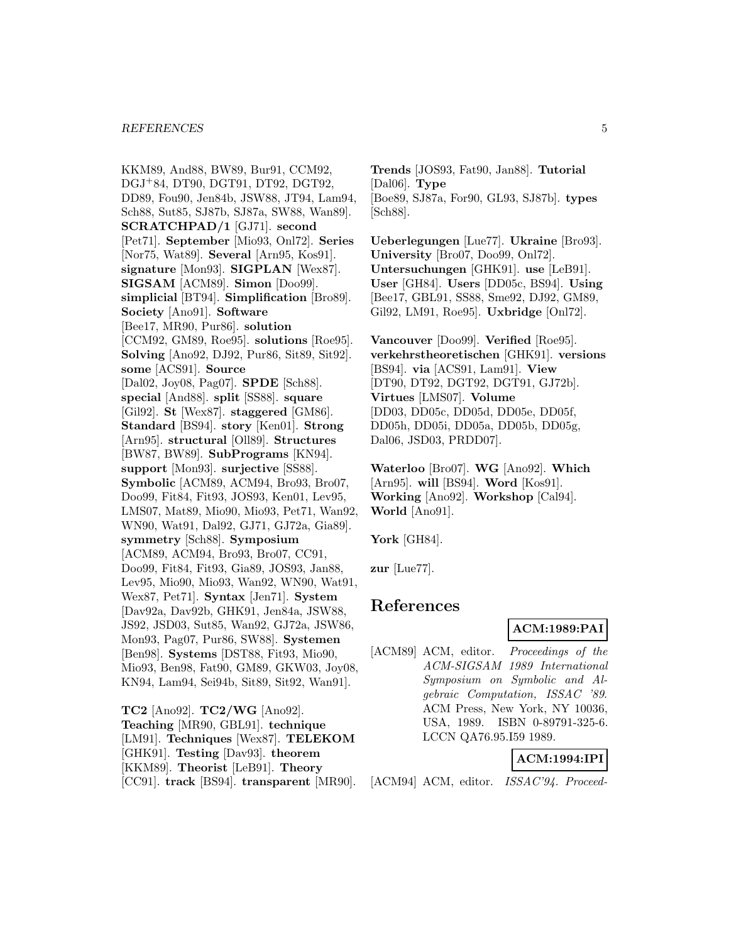#### *REFERENCES* 5

KKM89, And88, BW89, Bur91, CCM92, DGJ<sup>+</sup>84, DT90, DGT91, DT92, DGT92, DD89, Fou90, Jen84b, JSW88, JT94, Lam94, Sch88, Sut85, SJ87b, SJ87a, SW88, Wan89]. **SCRATCHPAD/1** [GJ71]. **second** [Pet71]. **September** [Mio93, Onl72]. **Series** [Nor75, Wat89]. **Several** [Arn95, Kos91]. **signature** [Mon93]. **SIGPLAN** [Wex87]. **SIGSAM** [ACM89]. **Simon** [Doo99]. **simplicial** [BT94]. **Simplification** [Bro89]. **Society** [Ano91]. **Software** [Bee17, MR90, Pur86]. **solution** [CCM92, GM89, Roe95]. **solutions** [Roe95]. **Solving** [Ano92, DJ92, Pur86, Sit89, Sit92]. **some** [ACS91]. **Source** [Dal02, Joy08, Pag07]. **SPDE** [Sch88]. **special** [And88]. **split** [SS88]. **square** [Gil92]. **St** [Wex87]. **staggered** [GM86]. **Standard** [BS94]. **story** [Ken01]. **Strong** [Arn95]. **structural** [Oll89]. **Structures** [BW87, BW89]. **SubPrograms** [KN94]. **support** [Mon93]. **surjective** [SS88]. **Symbolic** [ACM89, ACM94, Bro93, Bro07, Doo99, Fit84, Fit93, JOS93, Ken01, Lev95, LMS07, Mat89, Mio90, Mio93, Pet71, Wan92, WN90, Wat91, Dal92, GJ71, GJ72a, Gia89]. **symmetry** [Sch88]. **Symposium** [ACM89, ACM94, Bro93, Bro07, CC91, Doo99, Fit84, Fit93, Gia89, JOS93, Jan88, Lev95, Mio90, Mio93, Wan92, WN90, Wat91, Wex87, Pet71]. **Syntax** [Jen71]. **System** [Dav92a, Dav92b, GHK91, Jen84a, JSW88, JS92, JSD03, Sut85, Wan92, GJ72a, JSW86, Mon93, Pag07, Pur86, SW88]. **Systemen** [Ben98]. **Systems** [DST88, Fit93, Mio90, Mio93, Ben98, Fat90, GM89, GKW03, Joy08, KN94, Lam94, Sei94b, Sit89, Sit92, Wan91].

**TC2** [Ano92]. **TC2/WG** [Ano92]. **Teaching** [MR90, GBL91]. **technique** [LM91]. **Techniques** [Wex87]. **TELEKOM** [GHK91]. **Testing** [Dav93]. **theorem** [KKM89]. **Theorist** [LeB91]. **Theory** [CC91]. **track** [BS94]. **transparent** [MR90]. **Trends** [JOS93, Fat90, Jan88]. **Tutorial** [Dal06]. **Type** [Boe89, SJ87a, For90, GL93, SJ87b]. **types** [Sch88].

**Ueberlegungen** [Lue77]. **Ukraine** [Bro93]. **University** [Bro07, Doo99, Onl72]. **Untersuchungen** [GHK91]. **use** [LeB91]. **User** [GH84]. **Users** [DD05c, BS94]. **Using** [Bee17, GBL91, SS88, Sme92, DJ92, GM89, Gil92, LM91, Roe95]. **Uxbridge** [Onl72].

**Vancouver** [Doo99]. **Verified** [Roe95]. **verkehrstheoretischen** [GHK91]. **versions** [BS94]. **via** [ACS91, Lam91]. **View** [DT90, DT92, DGT92, DGT91, GJ72b]. **Virtues** [LMS07]. **Volume** [DD03, DD05c, DD05d, DD05e, DD05f, DD05h, DD05i, DD05a, DD05b, DD05g, Dal06, JSD03, PRDD07].

**Waterloo** [Bro07]. **WG** [Ano92]. **Which** [Arn95]. **will** [BS94]. **Word** [Kos91]. **Working** [Ano92]. **Workshop** [Cal94]. **World** [Ano91].

**York** [GH84].

**zur** [Lue77].

# **References**

#### **ACM:1989:PAI**

[ACM89] ACM, editor. Proceedings of the ACM-SIGSAM 1989 International Symposium on Symbolic and Algebraic Computation, ISSAC '89. ACM Press, New York, NY 10036, USA, 1989. ISBN 0-89791-325-6. LCCN QA76.95.I59 1989.

### **ACM:1994:IPI**

[ACM94] ACM, editor. ISSAC'94. Proceed-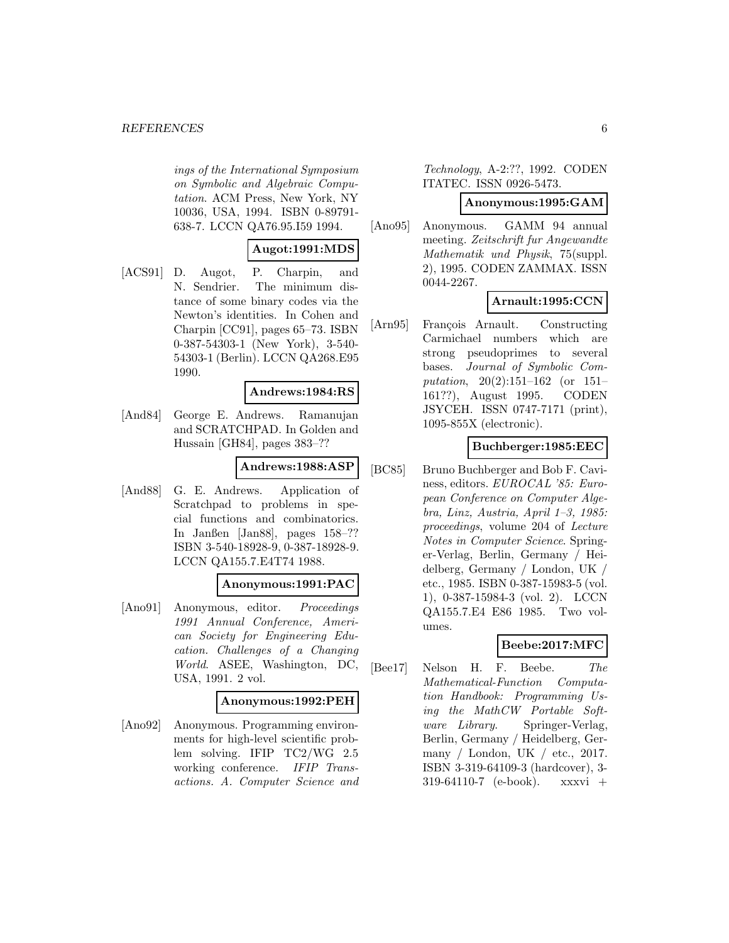#### *REFERENCES* 6

ings of the International Symposium on Symbolic and Algebraic Computation. ACM Press, New York, NY 10036, USA, 1994. ISBN 0-89791- 638-7. LCCN QA76.95.I59 1994.

### **Augot:1991:MDS**

[ACS91] D. Augot, P. Charpin, and N. Sendrier. The minimum distance of some binary codes via the Newton's identities. In Cohen and Charpin [CC91], pages 65–73. ISBN 0-387-54303-1 (New York), 3-540- 54303-1 (Berlin). LCCN QA268.E95 1990.

#### **Andrews:1984:RS**

[And84] George E. Andrews. Ramanujan and SCRATCHPAD. In Golden and Hussain [GH84], pages 383–??

#### **Andrews:1988:ASP**

[And88] G. E. Andrews. Application of Scratchpad to problems in special functions and combinatorics. In Janßen [Jan88], pages 158–?? ISBN 3-540-18928-9, 0-387-18928-9. LCCN QA155.7.E4T74 1988.

#### **Anonymous:1991:PAC**

[Ano91] Anonymous, editor. Proceedings 1991 Annual Conference, American Society for Engineering Education. Challenges of a Changing World. ASEE, Washington, DC, USA, 1991. 2 vol.

#### **Anonymous:1992:PEH**

[Ano92] Anonymous. Programming environments for high-level scientific problem solving. IFIP TC2/WG 2.5 working conference. IFIP Transactions. A. Computer Science and

Technology, A-2:??, 1992. CODEN ITATEC. ISSN 0926-5473.

#### **Anonymous:1995:GAM**

[Ano95] Anonymous. GAMM 94 annual meeting. Zeitschrift fur Angewandte Mathematik und Physik, 75(suppl. 2), 1995. CODEN ZAMMAX. ISSN 0044-2267.

### **Arnault:1995:CCN**

[Arn95] François Arnault. Constructing Carmichael numbers which are strong pseudoprimes to several bases. Journal of Symbolic Computation, 20(2):151–162 (or 151– 161??), August 1995. CODEN JSYCEH. ISSN 0747-7171 (print), 1095-855X (electronic).

#### **Buchberger:1985:EEC**

[BC85] Bruno Buchberger and Bob F. Caviness, editors. EUROCAL '85: European Conference on Computer Algebra, Linz, Austria, April 1–3, 1985: proceedings, volume 204 of Lecture Notes in Computer Science. Springer-Verlag, Berlin, Germany / Heidelberg, Germany / London, UK / etc., 1985. ISBN 0-387-15983-5 (vol. 1), 0-387-15984-3 (vol. 2). LCCN QA155.7.E4 E86 1985. Two volumes.

### **Beebe:2017:MFC**

[Bee17] Nelson H. F. Beebe. The Mathematical-Function Computation Handbook: Programming Using the MathCW Portable Software Library. Springer-Verlag, Berlin, Germany / Heidelberg, Germany / London, UK / etc., 2017. ISBN 3-319-64109-3 (hardcover), 3-  $319-64110-7$  (e-book). xxxvi +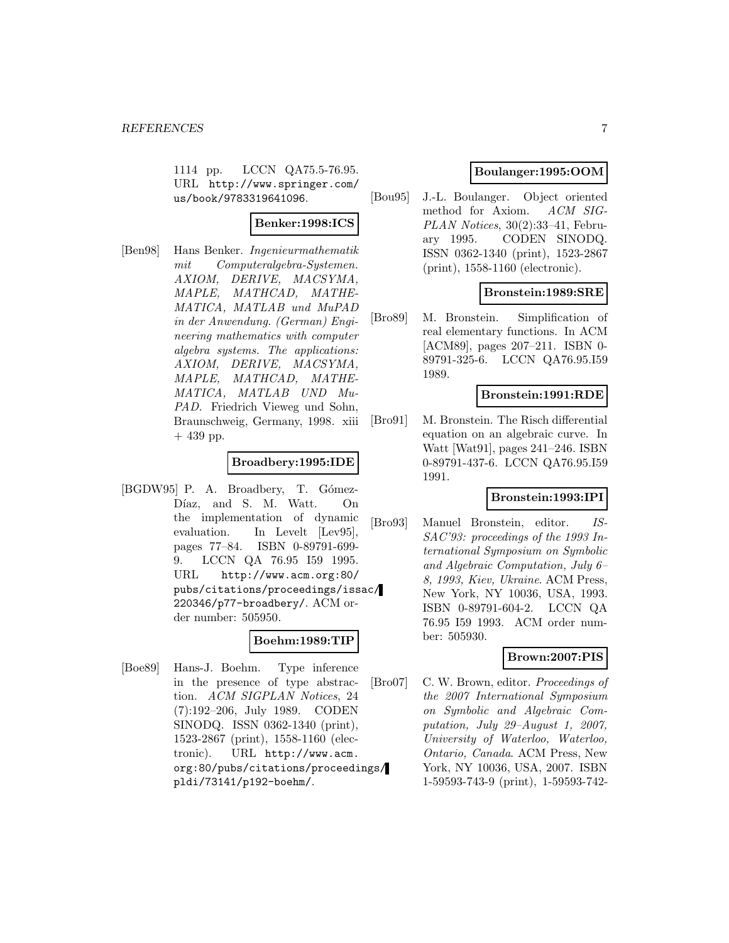1114 pp. LCCN QA75.5-76.95. URL http://www.springer.com/ us/book/9783319641096.

### **Benker:1998:ICS**

[Ben98] Hans Benker. Ingenieurmathematik mit Computeralgebra-Systemen. AXIOM, DERIVE, MACSYMA, MAPLE, MATHCAD, MATHE-MATICA, MATLAB und MuPAD in der Anwendung. (German) Engineering mathematics with computer algebra systems. The applications: AXIOM, DERIVE, MACSYMA, MAPLE, MATHCAD, MATHE-MATICA, MATLAB UND Mu-PAD. Friedrich Vieweg und Sohn, Braunschweig, Germany, 1998. xiii  $+439$  pp.

### **Broadbery:1995:IDE**

[BGDW95] P. A. Broadbery, T. Gómez-Díaz, and S. M. Watt. On the implementation of dynamic evaluation. In Levelt [Lev95], pages 77–84. ISBN 0-89791-699- 9. LCCN QA 76.95 I59 1995. URL http://www.acm.org:80/ pubs/citations/proceedings/issac/ 220346/p77-broadbery/. ACM order number: 505950.

#### **Boehm:1989:TIP**

[Boe89] Hans-J. Boehm. Type inference in the presence of type abstraction. ACM SIGPLAN Notices, 24 (7):192–206, July 1989. CODEN SINODQ. ISSN 0362-1340 (print), 1523-2867 (print), 1558-1160 (electronic). URL http://www.acm. org:80/pubs/citations/proceedings/ pldi/73141/p192-boehm/.

### **Boulanger:1995:OOM**

[Bou95] J.-L. Boulanger. Object oriented method for Axiom. ACM SIG-PLAN Notices, 30(2):33–41, February 1995. CODEN SINODQ. ISSN 0362-1340 (print), 1523-2867 (print), 1558-1160 (electronic).

### **Bronstein:1989:SRE**

[Bro89] M. Bronstein. Simplification of real elementary functions. In ACM [ACM89], pages 207–211. ISBN 0- 89791-325-6. LCCN QA76.95.I59 1989.

#### **Bronstein:1991:RDE**

[Bro91] M. Bronstein. The Risch differential equation on an algebraic curve. In Watt [Wat91], pages 241–246. ISBN 0-89791-437-6. LCCN QA76.95.I59 1991.

### **Bronstein:1993:IPI**

[Bro93] Manuel Bronstein, editor. IS-SAC'93: proceedings of the 1993 International Symposium on Symbolic and Algebraic Computation, July 6– 8, 1993, Kiev, Ukraine. ACM Press, New York, NY 10036, USA, 1993. ISBN 0-89791-604-2. LCCN QA 76.95 I59 1993. ACM order number: 505930.

### **Brown:2007:PIS**

[Bro07] C. W. Brown, editor. Proceedings of the 2007 International Symposium on Symbolic and Algebraic Computation, July 29–August 1, 2007, University of Waterloo, Waterloo, Ontario, Canada. ACM Press, New York, NY 10036, USA, 2007. ISBN 1-59593-743-9 (print), 1-59593-742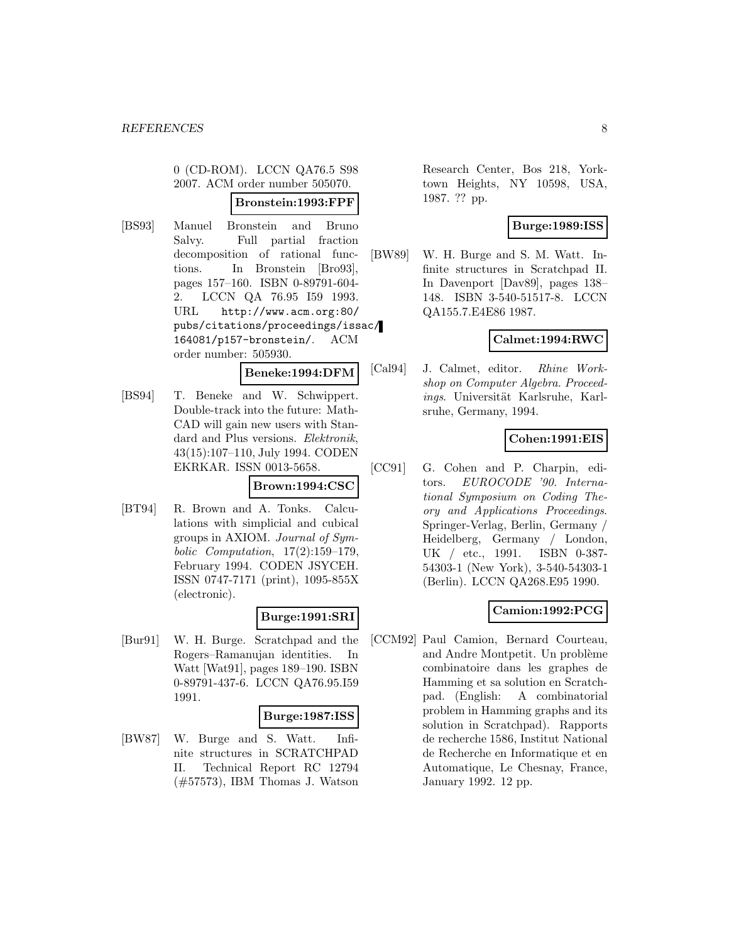0 (CD-ROM). LCCN QA76.5 S98 2007. ACM order number 505070.

### **Bronstein:1993:FPF**

[BS93] Manuel Bronstein and Bruno Salvy. Full partial fraction decomposition of rational functions. In Bronstein [Bro93], pages 157–160. ISBN 0-89791-604- 2. LCCN QA 76.95 I59 1993. URL http://www.acm.org:80/ pubs/citations/proceedings/issac/ 164081/p157-bronstein/. ACM order number: 505930.

#### **Beneke:1994:DFM**

[BS94] T. Beneke and W. Schwippert. Double-track into the future: Math-CAD will gain new users with Standard and Plus versions. Elektronik, 43(15):107–110, July 1994. CODEN EKRKAR. ISSN 0013-5658.

### **Brown:1994:CSC**

[BT94] R. Brown and A. Tonks. Calculations with simplicial and cubical groups in AXIOM. Journal of Symbolic Computation, 17(2):159–179, February 1994. CODEN JSYCEH. ISSN 0747-7171 (print), 1095-855X (electronic).

#### **Burge:1991:SRI**

[Bur91] W. H. Burge. Scratchpad and the Rogers–Ramanujan identities. In Watt [Wat91], pages 189–190. ISBN 0-89791-437-6. LCCN QA76.95.I59 1991.

#### **Burge:1987:ISS**

[BW87] W. Burge and S. Watt. Infinite structures in SCRATCHPAD II. Technical Report RC 12794 (#57573), IBM Thomas J. Watson Research Center, Bos 218, Yorktown Heights, NY 10598, USA, 1987. ?? pp.

### **Burge:1989:ISS**

[BW89] W. H. Burge and S. M. Watt. Infinite structures in Scratchpad II. In Davenport [Dav89], pages 138– 148. ISBN 3-540-51517-8. LCCN QA155.7.E4E86 1987.

### **Calmet:1994:RWC**

[Cal94] J. Calmet, editor. Rhine Workshop on Computer Algebra. Proceedings. Universität Karlsruhe, Karlsruhe, Germany, 1994.

### **Cohen:1991:EIS**

[CC91] G. Cohen and P. Charpin, editors. EUROCODE '90. International Symposium on Coding Theory and Applications Proceedings. Springer-Verlag, Berlin, Germany / Heidelberg, Germany / London, UK / etc., 1991. ISBN 0-387- 54303-1 (New York), 3-540-54303-1 (Berlin). LCCN QA268.E95 1990.

### **Camion:1992:PCG**

[CCM92] Paul Camion, Bernard Courteau, and Andre Montpetit. Un problème combinatoire dans les graphes de Hamming et sa solution en Scratchpad. (English: A combinatorial problem in Hamming graphs and its solution in Scratchpad). Rapports de recherche 1586, Institut National de Recherche en Informatique et en Automatique, Le Chesnay, France, January 1992. 12 pp.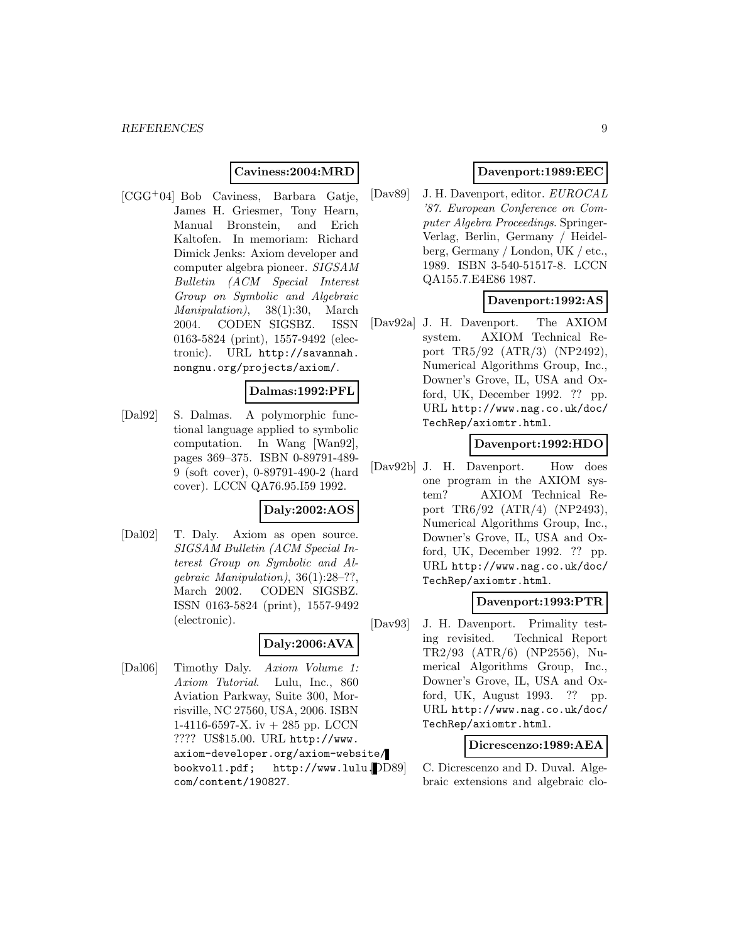### **Caviness:2004:MRD**

[CGG<sup>+</sup>04] Bob Caviness, Barbara Gatje, James H. Griesmer, Tony Hearn, Manual Bronstein, and Erich Kaltofen. In memoriam: Richard Dimick Jenks: Axiom developer and computer algebra pioneer. SIGSAM Bulletin (ACM Special Interest Group on Symbolic and Algebraic Manipulation), 38(1):30, March 2004. CODEN SIGSBZ. ISSN 0163-5824 (print), 1557-9492 (electronic). URL http://savannah. nongnu.org/projects/axiom/.

### **Dalmas:1992:PFL**

[Dal92] S. Dalmas. A polymorphic functional language applied to symbolic computation. In Wang [Wan92], pages 369–375. ISBN 0-89791-489- 9 (soft cover), 0-89791-490-2 (hard cover). LCCN QA76.95.I59 1992.

#### **Daly:2002:AOS**

[Dal02] T. Daly. Axiom as open source. SIGSAM Bulletin (ACM Special Interest Group on Symbolic and Algebraic Manipulation), 36(1):28–??, March 2002. CODEN SIGSBZ. ISSN 0163-5824 (print), 1557-9492 (electronic).

### **Daly:2006:AVA**

[Dal06] Timothy Daly. Axiom Volume 1: Axiom Tutorial. Lulu, Inc., 860 Aviation Parkway, Suite 300, Morrisville, NC 27560, USA, 2006. ISBN 1-4116-6597-X. iv + 285 pp. LCCN ???? US\$15.00. URL http://www. axiom-developer.org/axiom-website/ bookvol1.pdf; http://www.lulu. com/content/190827.

### **Davenport:1989:EEC**

[Dav89] J. H. Davenport, editor. EUROCAL '87. European Conference on Computer Algebra Proceedings. Springer-Verlag, Berlin, Germany / Heidelberg, Germany / London, UK / etc., 1989. ISBN 3-540-51517-8. LCCN QA155.7.E4E86 1987.

### **Davenport:1992:AS**

[Dav92a] J. H. Davenport. The AXIOM system. AXIOM Technical Report TR5/92 (ATR/3) (NP2492), Numerical Algorithms Group, Inc., Downer's Grove, IL, USA and Oxford, UK, December 1992. ?? pp. URL http://www.nag.co.uk/doc/ TechRep/axiomtr.html.

### **Davenport:1992:HDO**

[Dav92b] J. H. Davenport. How does one program in the AXIOM system? AXIOM Technical Report TR6/92 (ATR/4) (NP2493), Numerical Algorithms Group, Inc., Downer's Grove, IL, USA and Oxford, UK, December 1992. ?? pp. URL http://www.nag.co.uk/doc/ TechRep/axiomtr.html.

#### **Davenport:1993:PTR**

[Dav93] J. H. Davenport. Primality testing revisited. Technical Report TR2/93 (ATR/6) (NP2556), Numerical Algorithms Group, Inc., Downer's Grove, IL, USA and Oxford, UK, August 1993. ?? pp. URL http://www.nag.co.uk/doc/ TechRep/axiomtr.html.

### **Dicrescenzo:1989:AEA**

C. Dicrescenzo and D. Duval. Algebraic extensions and algebraic clo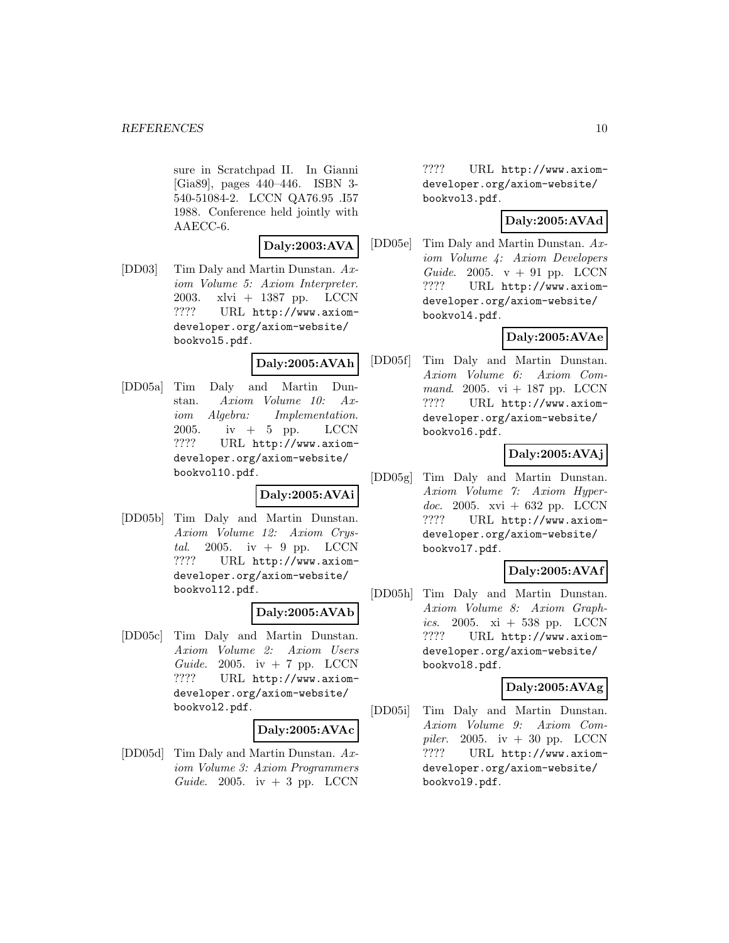sure in Scratchpad II. In Gianni [Gia89], pages 440–446. ISBN 3- 540-51084-2. LCCN QA76.95 .I57 1988. Conference held jointly with AAECC-6.

#### **Daly:2003:AVA**

[DD03] Tim Daly and Martin Dunstan. Axiom Volume 5: Axiom Interpreter. 2003. xlvi + 1387 pp. LCCN ???? URL http://www.axiomdeveloper.org/axiom-website/ bookvol5.pdf.

#### **Daly:2005:AVAh**

[DD05a] Tim Daly and Martin Dunstan. Axiom Volume 10: Axiom Algebra: Implementation. 2005. iv  $+$  5 pp. LCCN ???? URL http://www.axiomdeveloper.org/axiom-website/ bookvol10.pdf.

#### **Daly:2005:AVAi**

[DD05b] Tim Daly and Martin Dunstan. Axiom Volume 12: Axiom Crystal. 2005. iv  $+$  9 pp. LCCN ???? URL http://www.axiomdeveloper.org/axiom-website/ bookvol12.pdf.

#### **Daly:2005:AVAb**

[DD05c] Tim Daly and Martin Dunstan. Axiom Volume 2: Axiom Users Guide. 2005. iv  $+ 7$  pp. LCCN ???? URL http://www.axiomdeveloper.org/axiom-website/ bookvol2.pdf.

#### **Daly:2005:AVAc**

[DD05d] Tim Daly and Martin Dunstan. Axiom Volume 3: Axiom Programmers Guide. 2005. iv  $+3$  pp. LCCN

???? URL http://www.axiomdeveloper.org/axiom-website/ bookvol3.pdf.

### **Daly:2005:AVAd**

[DD05e] Tim Daly and Martin Dunstan. Axiom Volume 4: Axiom Developers Guide. 2005.  $v + 91$  pp. LCCN ???? URL http://www.axiomdeveloper.org/axiom-website/ bookvol4.pdf.

# **Daly:2005:AVAe**

[DD05f] Tim Daly and Martin Dunstan. Axiom Volume 6: Axiom Command. 2005. vi  $+$  187 pp. LCCN ???? URL http://www.axiomdeveloper.org/axiom-website/ bookvol6.pdf.

### **Daly:2005:AVAj**

[DD05g] Tim Daly and Martin Dunstan. Axiom Volume 7: Axiom Hyperdoc. 2005. xvi + 632 pp. LCCN ???? URL http://www.axiomdeveloper.org/axiom-website/ bookvol7.pdf.

### **Daly:2005:AVAf**

[DD05h] Tim Daly and Martin Dunstan. Axiom Volume 8: Axiom Graphics. 2005.  $xi + 538$  pp. LCCN ???? URL http://www.axiomdeveloper.org/axiom-website/ bookvol8.pdf.

### **Daly:2005:AVAg**

[DD05i] Tim Daly and Martin Dunstan. Axiom Volume 9: Axiom Compiler. 2005. iv  $+30$  pp. LCCN ???? URL http://www.axiomdeveloper.org/axiom-website/ bookvol9.pdf.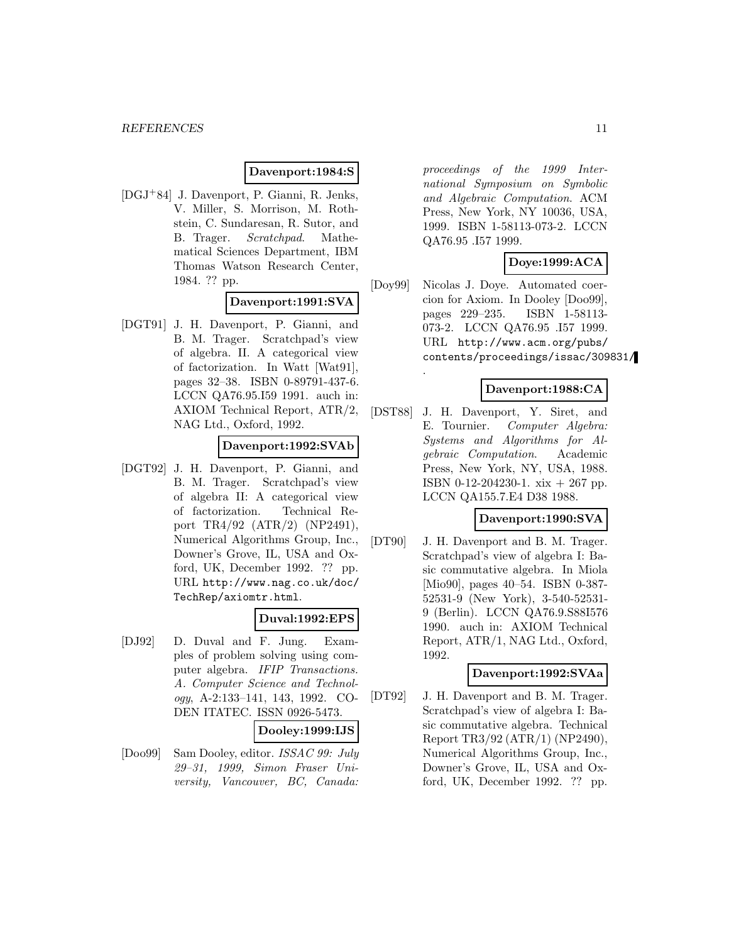### **Davenport:1984:S**

[DGJ<sup>+</sup>84] J. Davenport, P. Gianni, R. Jenks, V. Miller, S. Morrison, M. Rothstein, C. Sundaresan, R. Sutor, and B. Trager. Scratchpad. Mathematical Sciences Department, IBM Thomas Watson Research Center, 1984. ?? pp.

### **Davenport:1991:SVA**

[DGT91] J. H. Davenport, P. Gianni, and B. M. Trager. Scratchpad's view of algebra. II. A categorical view of factorization. In Watt [Wat91], pages 32–38. ISBN 0-89791-437-6. LCCN QA76.95.I59 1991. auch in: AXIOM Technical Report, ATR/2, NAG Ltd., Oxford, 1992.

#### **Davenport:1992:SVAb**

[DGT92] J. H. Davenport, P. Gianni, and B. M. Trager. Scratchpad's view of algebra II: A categorical view of factorization. Technical Report TR4/92 (ATR/2) (NP2491), Numerical Algorithms Group, Inc., Downer's Grove, IL, USA and Oxford, UK, December 1992. ?? pp. URL http://www.nag.co.uk/doc/ TechRep/axiomtr.html.

#### **Duval:1992:EPS**

[DJ92] D. Duval and F. Jung. Examples of problem solving using computer algebra. IFIP Transactions. A. Computer Science and Technology, A-2:133–141, 143, 1992. CO-DEN ITATEC. ISSN 0926-5473.

#### **Dooley:1999:IJS**

[Doo99] Sam Dooley, editor. ISSAC 99: July 29–31, 1999, Simon Fraser University, Vancouver, BC, Canada: proceedings of the 1999 International Symposium on Symbolic and Algebraic Computation. ACM Press, New York, NY 10036, USA, 1999. ISBN 1-58113-073-2. LCCN QA76.95 .I57 1999.

### **Doye:1999:ACA**

[Doy99] Nicolas J. Doye. Automated coercion for Axiom. In Dooley [Doo99], pages 229–235. ISBN 1-58113- 073-2. LCCN QA76.95 .I57 1999. URL http://www.acm.org/pubs/ contents/proceedings/issac/309831/

#### **Davenport:1988:CA**

[DST88] J. H. Davenport, Y. Siret, and E. Tournier. Computer Algebra: Systems and Algorithms for Algebraic Computation. Academic Press, New York, NY, USA, 1988. ISBN 0-12-204230-1. xix + 267 pp. LCCN QA155.7.E4 D38 1988.

.

#### **Davenport:1990:SVA**

[DT90] J. H. Davenport and B. M. Trager. Scratchpad's view of algebra I: Basic commutative algebra. In Miola [Mio90], pages 40–54. ISBN 0-387- 52531-9 (New York), 3-540-52531- 9 (Berlin). LCCN QA76.9.S88I576 1990. auch in: AXIOM Technical Report, ATR/1, NAG Ltd., Oxford, 1992.

### **Davenport:1992:SVAa**

[DT92] J. H. Davenport and B. M. Trager. Scratchpad's view of algebra I: Basic commutative algebra. Technical Report TR3/92 (ATR/1) (NP2490), Numerical Algorithms Group, Inc., Downer's Grove, IL, USA and Oxford, UK, December 1992. ?? pp.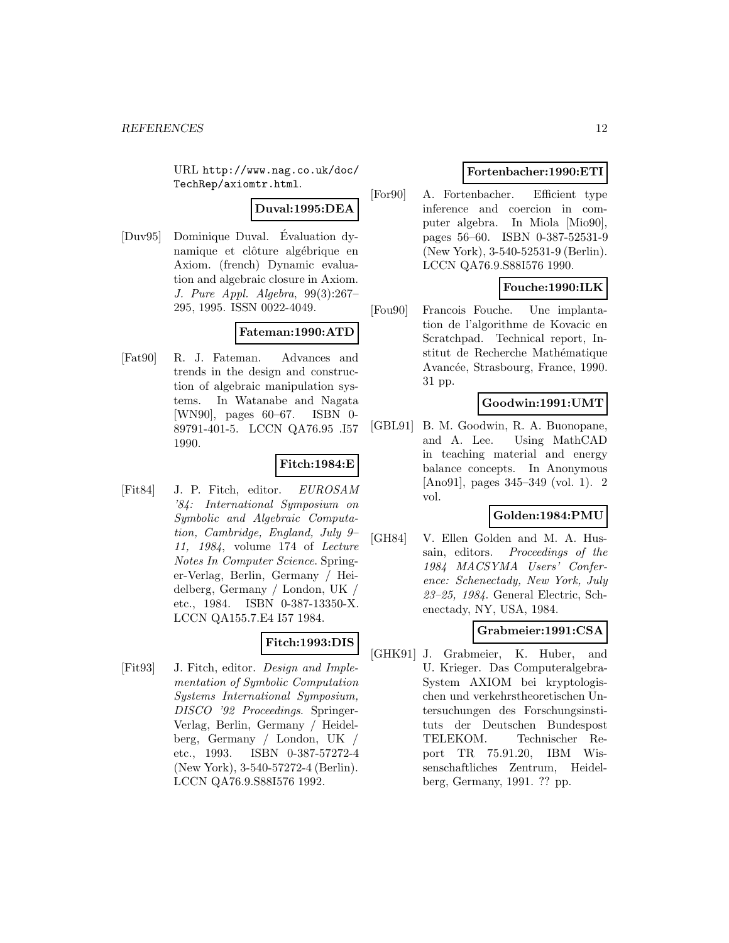URL http://www.nag.co.uk/doc/ TechRep/axiomtr.html.

## **Duval:1995:DEA**

[Duv95] Dominique Duval. Evaluation dy- ´ namique et clôture algébrique en Axiom. (french) Dynamic evaluation and algebraic closure in Axiom. J. Pure Appl. Algebra, 99(3):267– 295, 1995. ISSN 0022-4049.

### **Fateman:1990:ATD**

[Fat90] R. J. Fateman. Advances and trends in the design and construction of algebraic manipulation systems. In Watanabe and Nagata [WN90], pages 60–67. ISBN 0- 89791-401-5. LCCN QA76.95 .I57 1990.

### **Fitch:1984:E**

[Fit84] J. P. Fitch, editor. EUROSAM '84: International Symposium on Symbolic and Algebraic Computation, Cambridge, England, July 9– 11, 1984, volume 174 of Lecture Notes In Computer Science. Springer-Verlag, Berlin, Germany / Heidelberg, Germany / London, UK / etc., 1984. ISBN 0-387-13350-X. LCCN QA155.7.E4 I57 1984.

### **Fitch:1993:DIS**

[Fit93] J. Fitch, editor. Design and Implementation of Symbolic Computation Systems International Symposium, DISCO '92 Proceedings. Springer-Verlag, Berlin, Germany / Heidelberg, Germany / London, UK / etc., 1993. ISBN 0-387-57272-4 (New York), 3-540-57272-4 (Berlin). LCCN QA76.9.S88I576 1992.

### **Fortenbacher:1990:ETI**

[For90] A. Fortenbacher. Efficient type inference and coercion in computer algebra. In Miola [Mio90], pages 56–60. ISBN 0-387-52531-9 (New York), 3-540-52531-9 (Berlin). LCCN QA76.9.S88I576 1990.

### **Fouche:1990:ILK**

[Fou90] Francois Fouche. Une implantation de l'algorithme de Kovacic en Scratchpad. Technical report, Institut de Recherche Mathématique Avancée, Strasbourg, France, 1990. 31 pp.

### **Goodwin:1991:UMT**

[GBL91] B. M. Goodwin, R. A. Buonopane, and A. Lee. Using MathCAD in teaching material and energy balance concepts. In Anonymous [Ano91], pages 345–349 (vol. 1). 2 vol.

### **Golden:1984:PMU**

[GH84] V. Ellen Golden and M. A. Hussain, editors. Proceedings of the 1984 MACSYMA Users' Conference: Schenectady, New York, July 23–25, 1984. General Electric, Schenectady, NY, USA, 1984.

### **Grabmeier:1991:CSA**

[GHK91] J. Grabmeier, K. Huber, and U. Krieger. Das Computeralgebra-System AXIOM bei kryptologischen und verkehrstheoretischen Untersuchungen des Forschungsinstituts der Deutschen Bundespost TELEKOM. Technischer Report TR 75.91.20, IBM Wissenschaftliches Zentrum, Heidelberg, Germany, 1991. ?? pp.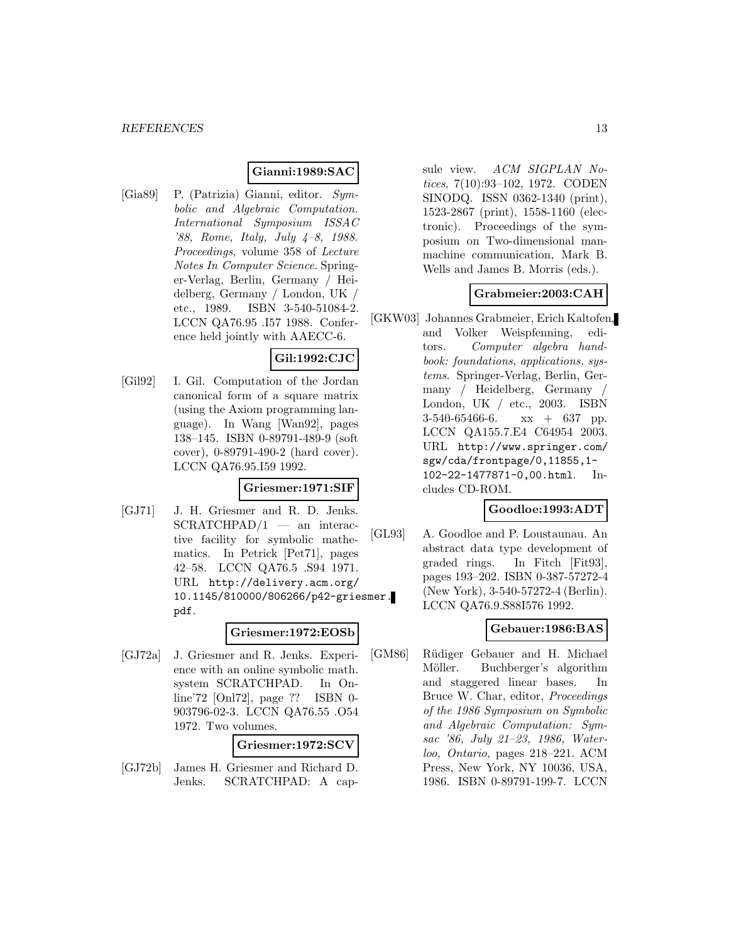### **Gianni:1989:SAC**

[Gia89] P. (Patrizia) Gianni, editor. Symbolic and Algebraic Computation. International Symposium ISSAC '88, Rome, Italy, July 4–8, 1988. Proceedings, volume 358 of Lecture Notes In Computer Science. Springer-Verlag, Berlin, Germany / Heidelberg, Germany / London, UK / etc., 1989. ISBN 3-540-51084-2. LCCN QA76.95 .I57 1988. Conference held jointly with AAECC-6.

### **Gil:1992:CJC**

[Gil92] I. Gil. Computation of the Jordan canonical form of a square matrix (using the Axiom programming language). In Wang [Wan92], pages 138–145. ISBN 0-89791-489-9 (soft cover), 0-89791-490-2 (hard cover). LCCN QA76.95.I59 1992.

#### **Griesmer:1971:SIF**

[GJ71] J. H. Griesmer and R. D. Jenks.  $SCRATCHPAD/1$  — an interactive facility for symbolic mathematics. In Petrick [Pet71], pages 42–58. LCCN QA76.5 .S94 1971. URL http://delivery.acm.org/ 10.1145/810000/806266/p42-griesmer. pdf.

#### **Griesmer:1972:EOSb**

[GJ72a] J. Griesmer and R. Jenks. Experience with an online symbolic math. system SCRATCHPAD. In Online'72 [Onl72], page ?? ISBN 0- 903796-02-3. LCCN QA76.55 .O54 1972. Two volumes.

#### **Griesmer:1972:SCV**

[GJ72b] James H. Griesmer and Richard D. Jenks. SCRATCHPAD: A capsule view. ACM SIGPLAN Notices, 7(10):93–102, 1972. CODEN SINODQ. ISSN 0362-1340 (print), 1523-2867 (print), 1558-1160 (electronic). Proceedings of the symposium on Two-dimensional manmachine communication, Mark B. Wells and James B. Morris (eds.).

### **Grabmeier:2003:CAH**

[GKW03] Johannes Grabmeier, Erich Kaltofen, and Volker Weispfenning, editors. Computer algebra handbook: foundations, applications, systems. Springer-Verlag, Berlin, Germany / Heidelberg, Germany / London, UK / etc., 2003. ISBN 3-540-65466-6. xx + 637 pp. LCCN QA155.7.E4 C64954 2003. URL http://www.springer.com/ sgw/cda/frontpage/0,11855,1- 102-22-1477871-0,00.html. Includes CD-ROM.

#### **Goodloe:1993:ADT**

[GL93] A. Goodloe and P. Loustaunau. An abstract data type development of graded rings. In Fitch [Fit93], pages 193–202. ISBN 0-387-57272-4 (New York), 3-540-57272-4 (Berlin). LCCN QA76.9.S88I576 1992.

## **Gebauer:1986:BAS**

[GM86] Rüdiger Gebauer and H. Michael Möller. Buchberger's algorithm and staggered linear bases. In Bruce W. Char, editor, Proceedings of the 1986 Symposium on Symbolic and Algebraic Computation: Symsac '86, July 21–23, 1986, Waterloo, Ontario, pages 218–221. ACM Press, New York, NY 10036, USA, 1986. ISBN 0-89791-199-7. LCCN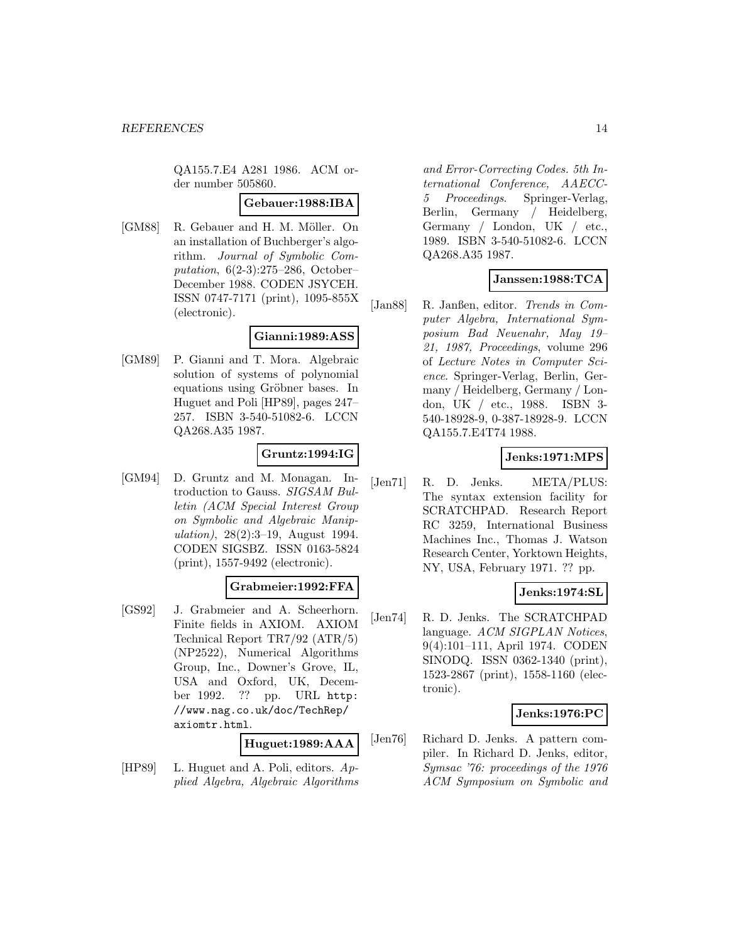QA155.7.E4 A281 1986. ACM order number 505860.

#### **Gebauer:1988:IBA**

[GM88] R. Gebauer and H. M. Möller. On an installation of Buchberger's algorithm. Journal of Symbolic Computation, 6(2-3):275–286, October– December 1988. CODEN JSYCEH. ISSN 0747-7171 (print), 1095-855X (electronic).

### **Gianni:1989:ASS**

[GM89] P. Gianni and T. Mora. Algebraic solution of systems of polynomial equations using Gröbner bases. In Huguet and Poli [HP89], pages 247– 257. ISBN 3-540-51082-6. LCCN QA268.A35 1987.

### **Gruntz:1994:IG**

[GM94] D. Gruntz and M. Monagan. Introduction to Gauss. SIGSAM Bulletin (ACM Special Interest Group on Symbolic and Algebraic Manipulation), 28(2):3–19, August 1994. CODEN SIGSBZ. ISSN 0163-5824 (print), 1557-9492 (electronic).

#### **Grabmeier:1992:FFA**

[GS92] J. Grabmeier and A. Scheerhorn. Finite fields in AXIOM. AXIOM Technical Report TR7/92 (ATR/5) (NP2522), Numerical Algorithms Group, Inc., Downer's Grove, IL, USA and Oxford, UK, December 1992. ?? pp. URL http: //www.nag.co.uk/doc/TechRep/ axiomtr.html.

**Huguet:1989:AAA**

[HP89] L. Huguet and A. Poli, editors.  $Ap$ plied Algebra, Algebraic Algorithms and Error-Correcting Codes. 5th International Conference, AAECC-5 Proceedings. Springer-Verlag, Berlin, Germany / Heidelberg, Germany / London, UK / etc., 1989. ISBN 3-540-51082-6. LCCN QA268.A35 1987.

### **Janssen:1988:TCA**

[Jan88] R. Janßen, editor. Trends in Computer Algebra, International Symposium Bad Neuenahr, May 19– 21, 1987, Proceedings, volume 296 of Lecture Notes in Computer Science. Springer-Verlag, Berlin, Germany / Heidelberg, Germany / London, UK / etc., 1988. ISBN 3- 540-18928-9, 0-387-18928-9. LCCN QA155.7.E4T74 1988.

#### **Jenks:1971:MPS**

[Jen71] R. D. Jenks. META/PLUS: The syntax extension facility for SCRATCHPAD. Research Report RC 3259, International Business Machines Inc., Thomas J. Watson Research Center, Yorktown Heights, NY, USA, February 1971. ?? pp.

#### **Jenks:1974:SL**

[Jen74] R. D. Jenks. The SCRATCHPAD language. ACM SIGPLAN Notices, 9(4):101–111, April 1974. CODEN SINODQ. ISSN 0362-1340 (print), 1523-2867 (print), 1558-1160 (electronic).

#### **Jenks:1976:PC**

[Jen76] Richard D. Jenks. A pattern compiler. In Richard D. Jenks, editor, Symsac '76: proceedings of the 1976 ACM Symposium on Symbolic and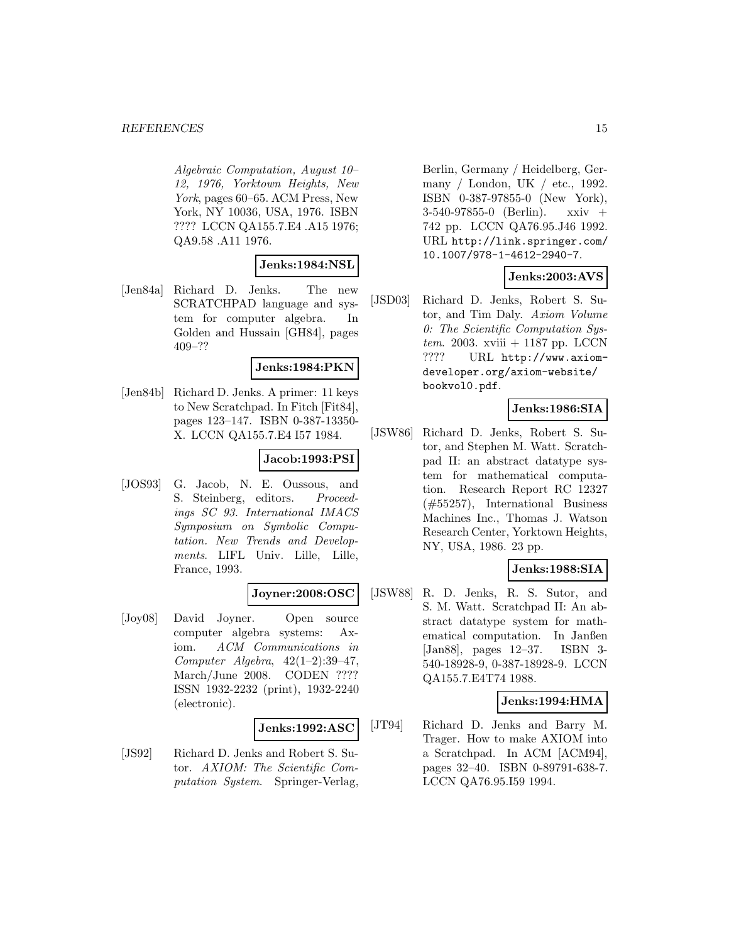#### *REFERENCES* 15

Algebraic Computation, August 10– 12, 1976, Yorktown Heights, New York, pages 60–65. ACM Press, New York, NY 10036, USA, 1976. ISBN ???? LCCN QA155.7.E4 .A15 1976; QA9.58 .A11 1976.

#### **Jenks:1984:NSL**

[Jen84a] Richard D. Jenks. The new SCRATCHPAD language and system for computer algebra. In Golden and Hussain [GH84], pages 409–??

#### **Jenks:1984:PKN**

[Jen84b] Richard D. Jenks. A primer: 11 keys to New Scratchpad. In Fitch [Fit84], pages 123–147. ISBN 0-387-13350- X. LCCN QA155.7.E4 I57 1984.

### **Jacob:1993:PSI**

[JOS93] G. Jacob, N. E. Oussous, and S. Steinberg, editors. Proceedings SC 93. International IMACS Symposium on Symbolic Computation. New Trends and Developments. LIFL Univ. Lille, Lille, France, 1993.

#### **Joyner:2008:OSC**

[Joy08] David Joyner. Open source computer algebra systems: Axiom. ACM Communications in Computer Algebra, 42(1–2):39–47, March/June 2008. CODEN ???? ISSN 1932-2232 (print), 1932-2240 (electronic).

#### **Jenks:1992:ASC**

[JS92] Richard D. Jenks and Robert S. Sutor. AXIOM: The Scientific Computation System. Springer-Verlag,

Berlin, Germany / Heidelberg, Germany / London, UK / etc., 1992. ISBN 0-387-97855-0 (New York), 3-540-97855-0 (Berlin). xxiv + 742 pp. LCCN QA76.95.J46 1992. URL http://link.springer.com/ 10.1007/978-1-4612-2940-7.

### **Jenks:2003:AVS**

[JSD03] Richard D. Jenks, Robert S. Sutor, and Tim Daly. Axiom Volume 0: The Scientific Computation Sys $tem. 2003. xviii + 1187 pp. LCCN$ ???? URL http://www.axiomdeveloper.org/axiom-website/ bookvol0.pdf.

### **Jenks:1986:SIA**

[JSW86] Richard D. Jenks, Robert S. Sutor, and Stephen M. Watt. Scratchpad II: an abstract datatype system for mathematical computation. Research Report RC 12327 (#55257), International Business Machines Inc., Thomas J. Watson Research Center, Yorktown Heights, NY, USA, 1986. 23 pp.

# **Jenks:1988:SIA**

[JSW88] R. D. Jenks, R. S. Sutor, and S. M. Watt. Scratchpad II: An abstract datatype system for mathematical computation. In Janßen [Jan88], pages 12–37. ISBN 3- 540-18928-9, 0-387-18928-9. LCCN QA155.7.E4T74 1988.

### **Jenks:1994:HMA**

[JT94] Richard D. Jenks and Barry M. Trager. How to make AXIOM into a Scratchpad. In ACM [ACM94], pages 32–40. ISBN 0-89791-638-7. LCCN QA76.95.I59 1994.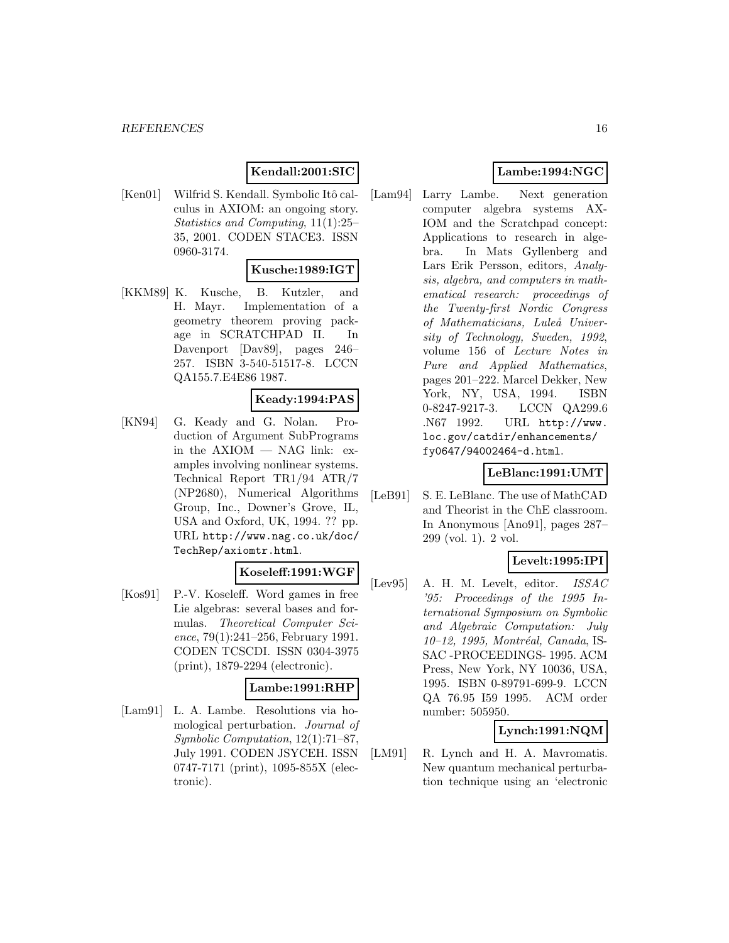## **Kendall:2001:SIC**

[Ken01] Wilfrid S. Kendall. Symbolic Itô calculus in AXIOM: an ongoing story. Statistics and Computing, 11(1):25– 35, 2001. CODEN STACE3. ISSN 0960-3174.

#### **Kusche:1989:IGT**

[KKM89] K. Kusche, B. Kutzler, and H. Mayr. Implementation of a geometry theorem proving package in SCRATCHPAD II. In Davenport [Dav89], pages 246– 257. ISBN 3-540-51517-8. LCCN QA155.7.E4E86 1987.

#### **Keady:1994:PAS**

[KN94] G. Keady and G. Nolan. Production of Argument SubPrograms in the AXIOM — NAG link: examples involving nonlinear systems. Technical Report TR1/94 ATR/7 (NP2680), Numerical Algorithms Group, Inc., Downer's Grove, IL, USA and Oxford, UK, 1994. ?? pp. URL http://www.nag.co.uk/doc/ TechRep/axiomtr.html.

# **Koseleff:1991:WGF**

[Kos91] P.-V. Koseleff. Word games in free Lie algebras: several bases and formulas. Theoretical Computer Science,  $79(1):241-256$ , February 1991. CODEN TCSCDI. ISSN 0304-3975 (print), 1879-2294 (electronic).

### **Lambe:1991:RHP**

[Lam91] L. A. Lambe. Resolutions via homological perturbation. Journal of Symbolic Computation, 12(1):71–87, July 1991. CODEN JSYCEH. ISSN 0747-7171 (print), 1095-855X (electronic).

# **Lambe:1994:NGC**

[Lam94] Larry Lambe. Next generation computer algebra systems AX-IOM and the Scratchpad concept: Applications to research in algebra. In Mats Gyllenberg and Lars Erik Persson, editors, Analysis, algebra, and computers in mathematical research: proceedings of the Twenty-first Nordic Congress of Mathematicians, Luleå University of Technology, Sweden, 1992, volume 156 of Lecture Notes in Pure and Applied Mathematics, pages 201–222. Marcel Dekker, New York, NY, USA, 1994. ISBN 0-8247-9217-3. LCCN QA299.6 .N67 1992. URL http://www. loc.gov/catdir/enhancements/ fy0647/94002464-d.html.

#### **LeBlanc:1991:UMT**

[LeB91] S. E. LeBlanc. The use of MathCAD and Theorist in the ChE classroom. In Anonymous [Ano91], pages 287– 299 (vol. 1). 2 vol.

### **Levelt:1995:IPI**

[Lev95] A. H. M. Levelt, editor. ISSAC '95: Proceedings of the 1995 International Symposium on Symbolic and Algebraic Computation: July 10–12, 1995, Montréal, Canada, IS-SAC -PROCEEDINGS- 1995. ACM Press, New York, NY 10036, USA, 1995. ISBN 0-89791-699-9. LCCN QA 76.95 I59 1995. ACM order number: 505950.

### **Lynch:1991:NQM**

[LM91] R. Lynch and H. A. Mavromatis. New quantum mechanical perturbation technique using an 'electronic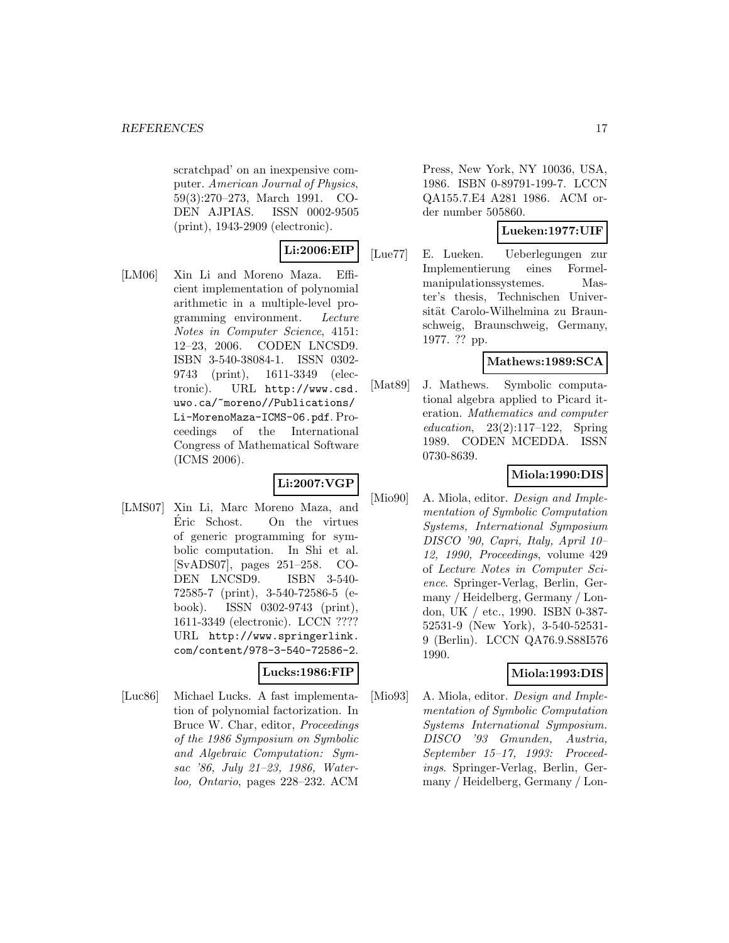scratchpad' on an inexpensive computer. American Journal of Physics, 59(3):270–273, March 1991. CO-DEN AJPIAS. ISSN 0002-9505 (print), 1943-2909 (electronic).

# **Li:2006:EIP**

[LM06] Xin Li and Moreno Maza. Efficient implementation of polynomial arithmetic in a multiple-level programming environment. Lecture Notes in Computer Science, 4151: 12–23, 2006. CODEN LNCSD9. ISBN 3-540-38084-1. ISSN 0302- 9743 (print), 1611-3349 (electronic). URL http://www.csd. uwo.ca/~moreno//Publications/ Li-MorenoMaza-ICMS-06.pdf. Proceedings of the International Congress of Mathematical Software (ICMS 2006).

### **Li:2007:VGP**

[LMS07] Xin Li, Marc Moreno Maza, and Eric Schost. On the virtues ´ of generic programming for symbolic computation. In Shi et al. [SvADS07], pages 251–258. CO-DEN LNCSD9. ISBN 3-540- 72585-7 (print), 3-540-72586-5 (ebook). ISSN 0302-9743 (print), 1611-3349 (electronic). LCCN ???? URL http://www.springerlink. com/content/978-3-540-72586-2.

### **Lucks:1986:FIP**

[Luc86] Michael Lucks. A fast implementation of polynomial factorization. In Bruce W. Char, editor, Proceedings of the 1986 Symposium on Symbolic and Algebraic Computation: Symsac '86, July 21–23, 1986, Waterloo, Ontario, pages 228–232. ACM

Press, New York, NY 10036, USA, 1986. ISBN 0-89791-199-7. LCCN QA155.7.E4 A281 1986. ACM order number 505860.

### **Lueken:1977:UIF**

[Lue77] E. Lueken. Ueberlegungen zur Implementierung eines Formelmanipulationssystemes. Master's thesis, Technischen Universität Carolo-Wilhelmina zu Braunschweig, Braunschweig, Germany, 1977. ?? pp.

#### **Mathews:1989:SCA**

[Mat89] J. Mathews. Symbolic computational algebra applied to Picard iteration. Mathematics and computer education,  $23(2):117-122$ , Spring 1989. CODEN MCEDDA. ISSN 0730-8639.

### **Miola:1990:DIS**

[Mio90] A. Miola, editor. *Design and Imple*mentation of Symbolic Computation Systems, International Symposium DISCO '90, Capri, Italy, April 10– 12, 1990, Proceedings, volume 429 of Lecture Notes in Computer Science. Springer-Verlag, Berlin, Germany / Heidelberg, Germany / London, UK / etc., 1990. ISBN 0-387- 52531-9 (New York), 3-540-52531- 9 (Berlin). LCCN QA76.9.S88I576 1990.

### **Miola:1993:DIS**

[Mio93] A. Miola, editor. *Design and Imple*mentation of Symbolic Computation Systems International Symposium. DISCO '93 Gmunden, Austria, September 15–17, 1993: Proceedings. Springer-Verlag, Berlin, Germany / Heidelberg, Germany / Lon-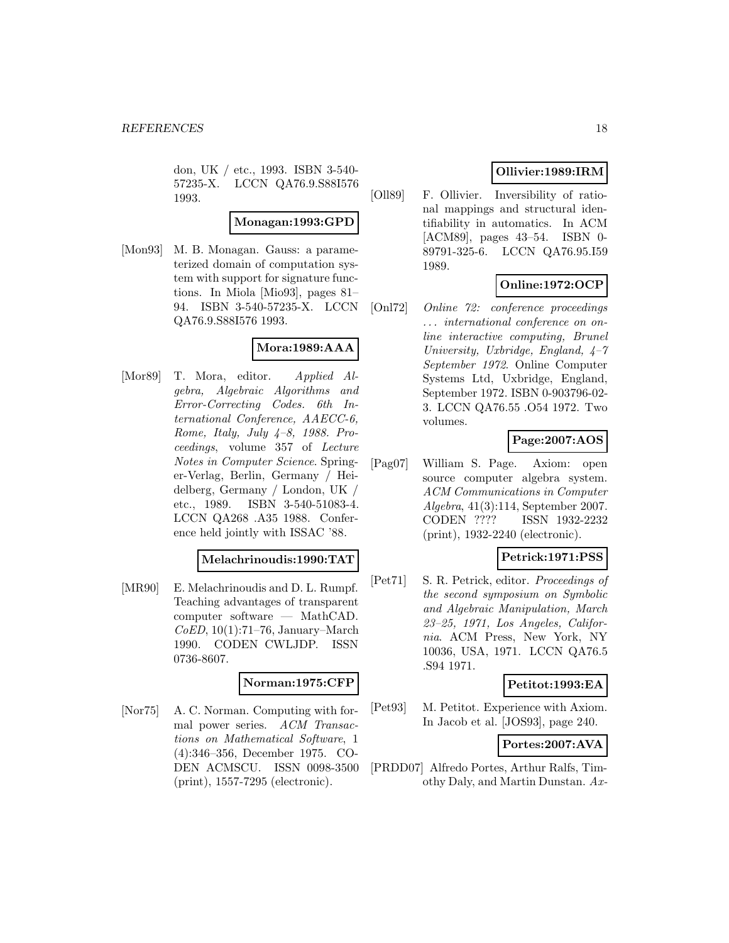don, UK / etc., 1993. ISBN 3-540- 57235-X. LCCN QA76.9.S88I576 1993.

#### **Monagan:1993:GPD**

[Mon93] M. B. Monagan. Gauss: a parameterized domain of computation system with support for signature functions. In Miola [Mio93], pages 81– 94. ISBN 3-540-57235-X. LCCN QA76.9.S88I576 1993.

# **Mora:1989:AAA**

[Mor89] T. Mora, editor. Applied Algebra, Algebraic Algorithms and Error-Correcting Codes. 6th International Conference, AAECC-6, Rome, Italy, July 4–8, 1988. Proceedings, volume 357 of Lecture Notes in Computer Science. Springer-Verlag, Berlin, Germany / Heidelberg, Germany / London, UK / etc., 1989. ISBN 3-540-51083-4. LCCN QA268 .A35 1988. Conference held jointly with ISSAC '88.

#### **Melachrinoudis:1990:TAT**

[MR90] E. Melachrinoudis and D. L. Rumpf. Teaching advantages of transparent computer software — MathCAD.  $CoED$ , 10(1):71–76, January–March 1990. CODEN CWLJDP. ISSN 0736-8607.

#### **Norman:1975:CFP**

[Nor75] A. C. Norman. Computing with formal power series. ACM Transactions on Mathematical Software, 1 (4):346–356, December 1975. CO-DEN ACMSCU. ISSN 0098-3500 (print), 1557-7295 (electronic).

## **Ollivier:1989:IRM**

[Oll89] F. Ollivier. Inversibility of rational mappings and structural identifiability in automatics. In ACM [ACM89], pages 43–54. ISBN 0- 89791-325-6. LCCN QA76.95.I59 1989.

# **Online:1972:OCP**

[Onl72] Online 72: conference proceedings . . . international conference on online interactive computing, Brunel University, Uxbridge, England,  $4-7$ September 1972. Online Computer Systems Ltd, Uxbridge, England, September 1972. ISBN 0-903796-02- 3. LCCN QA76.55 .O54 1972. Two volumes.

### **Page:2007:AOS**

[Pag07] William S. Page. Axiom: open source computer algebra system. ACM Communications in Computer Algebra, 41(3):114, September 2007. CODEN ???? ISSN 1932-2232 (print), 1932-2240 (electronic).

### **Petrick:1971:PSS**

[Pet71] S. R. Petrick, editor. Proceedings of the second symposium on Symbolic and Algebraic Manipulation, March 23–25, 1971, Los Angeles, California. ACM Press, New York, NY 10036, USA, 1971. LCCN QA76.5 .S94 1971.

#### **Petitot:1993:EA**

[Pet93] M. Petitot. Experience with Axiom. In Jacob et al. [JOS93], page 240.

**Portes:2007:AVA**

[PRDD07] Alfredo Portes, Arthur Ralfs, Timothy Daly, and Martin Dunstan. Ax-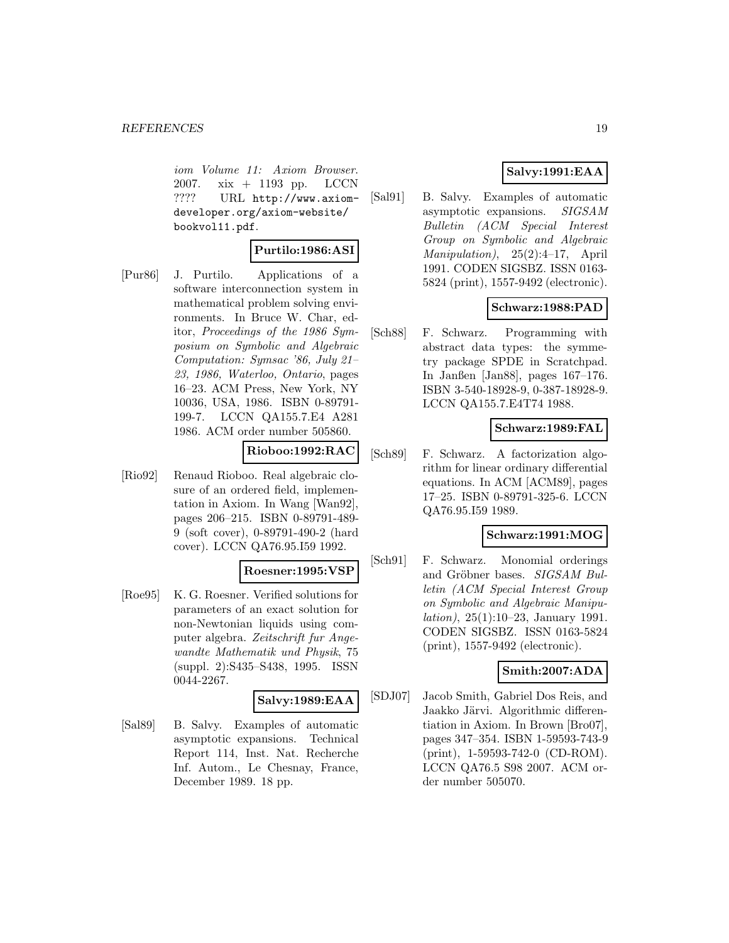iom Volume 11: Axiom Browser. 2007. xix + 1193 pp. LCCN ???? URL http://www.axiomdeveloper.org/axiom-website/ bookvol11.pdf.

### **Purtilo:1986:ASI**

[Pur86] J. Purtilo. Applications of a software interconnection system in mathematical problem solving environments. In Bruce W. Char, editor, Proceedings of the 1986 Symposium on Symbolic and Algebraic Computation: Symsac '86, July 21– 23, 1986, Waterloo, Ontario, pages 16–23. ACM Press, New York, NY 10036, USA, 1986. ISBN 0-89791- 199-7. LCCN QA155.7.E4 A281 1986. ACM order number 505860.

### **Rioboo:1992:RAC**

[Rio92] Renaud Rioboo. Real algebraic closure of an ordered field, implementation in Axiom. In Wang [Wan92], pages 206–215. ISBN 0-89791-489- 9 (soft cover), 0-89791-490-2 (hard cover). LCCN QA76.95.I59 1992.

#### **Roesner:1995:VSP**

[Roe95] K. G. Roesner. Verified solutions for parameters of an exact solution for non-Newtonian liquids using computer algebra. Zeitschrift fur Angewandte Mathematik und Physik, 75 (suppl. 2):S435–S438, 1995. ISSN 0044-2267.

### **Salvy:1989:EAA**

[Sal89] B. Salvy. Examples of automatic asymptotic expansions. Technical Report 114, Inst. Nat. Recherche Inf. Autom., Le Chesnay, France, December 1989. 18 pp.

## **Salvy:1991:EAA**

[Sal91] B. Salvy. Examples of automatic asymptotic expansions. SIGSAM Bulletin (ACM Special Interest Group on Symbolic and Algebraic  $\text{Manipulation}$ , 25(2):4-17, April 1991. CODEN SIGSBZ. ISSN 0163- 5824 (print), 1557-9492 (electronic).

### **Schwarz:1988:PAD**

[Sch88] F. Schwarz. Programming with abstract data types: the symmetry package SPDE in Scratchpad. In Janßen [Jan88], pages 167–176. ISBN 3-540-18928-9, 0-387-18928-9. LCCN QA155.7.E4T74 1988.

#### **Schwarz:1989:FAL**

[Sch89] F. Schwarz. A factorization algorithm for linear ordinary differential equations. In ACM [ACM89], pages 17–25. ISBN 0-89791-325-6. LCCN QA76.95.I59 1989.

#### **Schwarz:1991:MOG**

[Sch91] F. Schwarz. Monomial orderings and Gröbner bases. SIGSAM Bulletin (ACM Special Interest Group on Symbolic and Algebraic Manipulation), 25(1):10–23, January 1991. CODEN SIGSBZ. ISSN 0163-5824 (print), 1557-9492 (electronic).

#### **Smith:2007:ADA**

[SDJ07] Jacob Smith, Gabriel Dos Reis, and Jaakko Järvi. Algorithmic differentiation in Axiom. In Brown [Bro07], pages 347–354. ISBN 1-59593-743-9 (print), 1-59593-742-0 (CD-ROM). LCCN QA76.5 S98 2007. ACM order number 505070.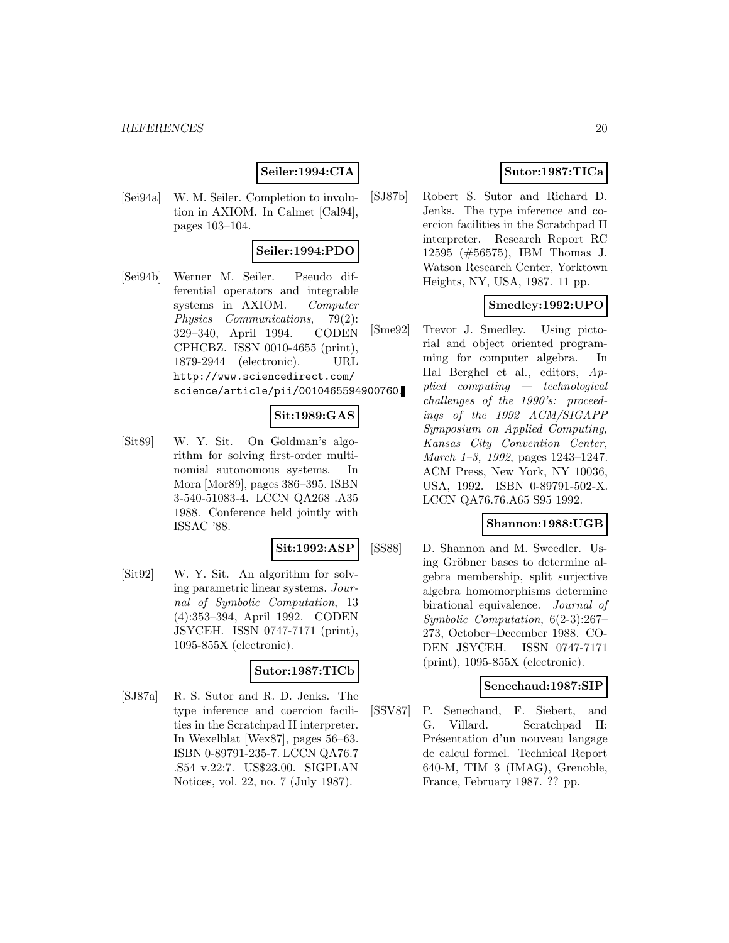### **Seiler:1994:CIA**

[Sei94a] W. M. Seiler. Completion to involution in AXIOM. In Calmet [Cal94], pages 103–104.

#### **Seiler:1994:PDO**

[Sei94b] Werner M. Seiler. Pseudo differential operators and integrable systems in AXIOM. Computer Physics Communications, 79(2): 329–340, April 1994. CODEN CPHCBZ. ISSN 0010-4655 (print), 1879-2944 (electronic). URL http://www.sciencedirect.com/ science/article/pii/0010465594900760.

### **Sit:1989:GAS**

[Sit89] W. Y. Sit. On Goldman's algorithm for solving first-order multinomial autonomous systems. In Mora [Mor89], pages 386–395. ISBN 3-540-51083-4. LCCN QA268 .A35 1988. Conference held jointly with ISSAC '88.

#### **Sit:1992:ASP**

[Sit92] W. Y. Sit. An algorithm for solving parametric linear systems. Journal of Symbolic Computation, 13 (4):353–394, April 1992. CODEN JSYCEH. ISSN 0747-7171 (print), 1095-855X (electronic).

#### **Sutor:1987:TICb**

[SJ87a] R. S. Sutor and R. D. Jenks. The type inference and coercion facilities in the Scratchpad II interpreter. In Wexelblat [Wex87], pages 56–63. ISBN 0-89791-235-7. LCCN QA76.7 .S54 v.22:7. US\$23.00. SIGPLAN Notices, vol. 22, no. 7 (July 1987).

# **Sutor:1987:TICa**

[SJ87b] Robert S. Sutor and Richard D. Jenks. The type inference and coercion facilities in the Scratchpad II interpreter. Research Report RC 12595 (#56575), IBM Thomas J. Watson Research Center, Yorktown Heights, NY, USA, 1987. 11 pp.

#### **Smedley:1992:UPO**

[Sme92] Trevor J. Smedley. Using pictorial and object oriented programming for computer algebra. In Hal Berghel et al., editors, Applied computing — technological challenges of the 1990's: proceedings of the 1992 ACM/SIGAPP Symposium on Applied Computing, Kansas City Convention Center, March 1–3, 1992, pages 1243–1247. ACM Press, New York, NY 10036, USA, 1992. ISBN 0-89791-502-X. LCCN QA76.76.A65 S95 1992.

#### **Shannon:1988:UGB**

[SS88] D. Shannon and M. Sweedler. Using Gröbner bases to determine algebra membership, split surjective algebra homomorphisms determine birational equivalence. Journal of Symbolic Computation, 6(2-3):267– 273, October–December 1988. CO-DEN JSYCEH. ISSN 0747-7171 (print), 1095-855X (electronic).

### **Senechaud:1987:SIP**

[SSV87] P. Senechaud, F. Siebert, and G. Villard. Scratchpad II: Présentation d'un nouveau langage de calcul formel. Technical Report 640-M, TIM 3 (IMAG), Grenoble, France, February 1987. ?? pp.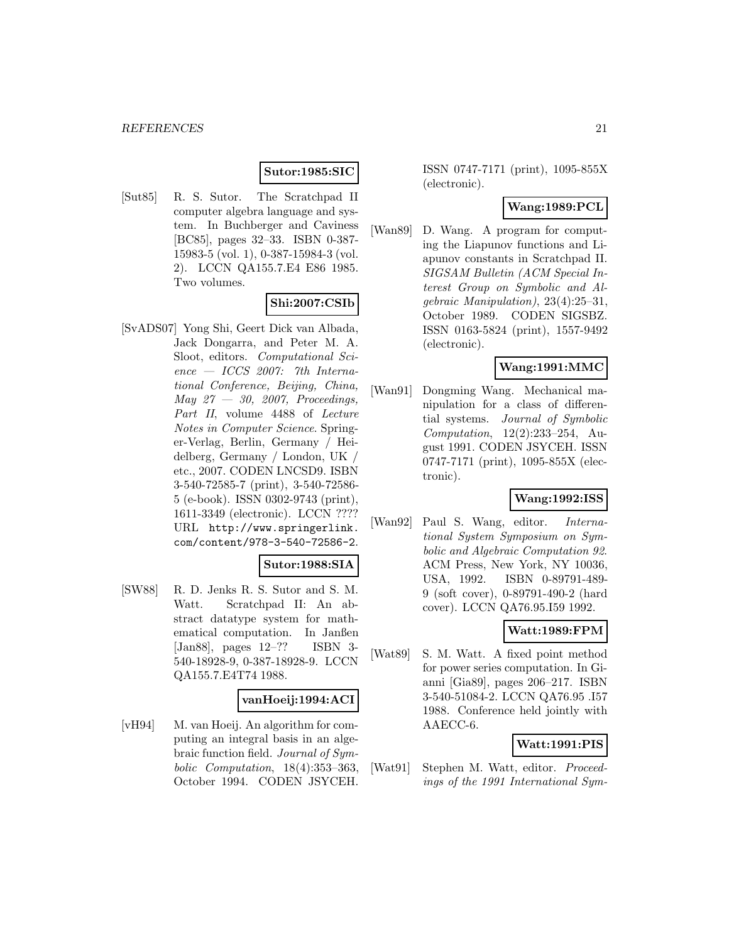### **Sutor:1985:SIC**

[Sut85] R. S. Sutor. The Scratchpad II computer algebra language and system. In Buchberger and Caviness [BC85], pages 32–33. ISBN 0-387- 15983-5 (vol. 1), 0-387-15984-3 (vol. 2). LCCN QA155.7.E4 E86 1985. Two volumes.

### **Shi:2007:CSIb**

[SvADS07] Yong Shi, Geert Dick van Albada, Jack Dongarra, and Peter M. A. Sloot, editors. Computational Sci $ence - ICCS$  2007: 7th International Conference, Beijing, China, May  $27 - 30$ , 2007, Proceedings, Part II, volume 4488 of Lecture Notes in Computer Science. Springer-Verlag, Berlin, Germany / Heidelberg, Germany / London, UK / etc., 2007. CODEN LNCSD9. ISBN 3-540-72585-7 (print), 3-540-72586- 5 (e-book). ISSN 0302-9743 (print), 1611-3349 (electronic). LCCN ???? URL http://www.springerlink. com/content/978-3-540-72586-2.

### **Sutor:1988:SIA**

[SW88] R. D. Jenks R. S. Sutor and S. M. Watt. Scratchpad II: An abstract datatype system for mathematical computation. In Janßen [Jan88], pages 12–?? ISBN 3- 540-18928-9, 0-387-18928-9. LCCN QA155.7.E4T74 1988.

#### **vanHoeij:1994:ACI**

[vH94] M. van Hoeij. An algorithm for computing an integral basis in an algebraic function field. Journal of Symbolic Computation, 18(4):353–363, October 1994. CODEN JSYCEH.

ISSN 0747-7171 (print), 1095-855X (electronic).

### **Wang:1989:PCL**

[Wan89] D. Wang. A program for computing the Liapunov functions and Liapunov constants in Scratchpad II. SIGSAM Bulletin (ACM Special Interest Group on Symbolic and Algebraic Manipulation), 23(4):25–31, October 1989. CODEN SIGSBZ. ISSN 0163-5824 (print), 1557-9492 (electronic).

### **Wang:1991:MMC**

[Wan91] Dongming Wang. Mechanical manipulation for a class of differential systems. Journal of Symbolic Computation, 12(2):233–254, August 1991. CODEN JSYCEH. ISSN 0747-7171 (print), 1095-855X (electronic).

### **Wang:1992:ISS**

[Wan92] Paul S. Wang, editor. International System Symposium on Symbolic and Algebraic Computation 92. ACM Press, New York, NY 10036, USA, 1992. ISBN 0-89791-489- 9 (soft cover), 0-89791-490-2 (hard cover). LCCN QA76.95.I59 1992.

#### **Watt:1989:FPM**

[Wat89] S. M. Watt. A fixed point method for power series computation. In Gianni [Gia89], pages 206–217. ISBN 3-540-51084-2. LCCN QA76.95 .I57 1988. Conference held jointly with AAECC-6.

#### **Watt:1991:PIS**

[Wat91] Stephen M. Watt, editor. Proceedings of the 1991 International Sym-